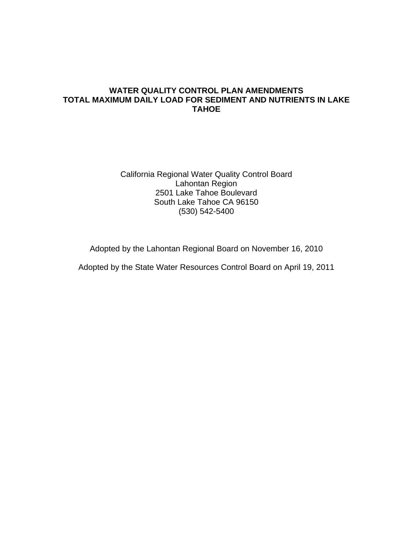#### **WATER QUALITY CONTROL PLAN AMENDMENTS TOTAL MAXIMUM DAILY LOAD FOR SEDIMENT AND NUTRIENTS IN LAKE TAHOE**

California Regional Water Quality Control Board Lahontan Region 2501 Lake Tahoe Boulevard South Lake Tahoe CA 96150 (530) 542-5400

Adopted by the Lahontan Regional Board on November 16, 2010

Adopted by the State Water Resources Control Board on April 19, 2011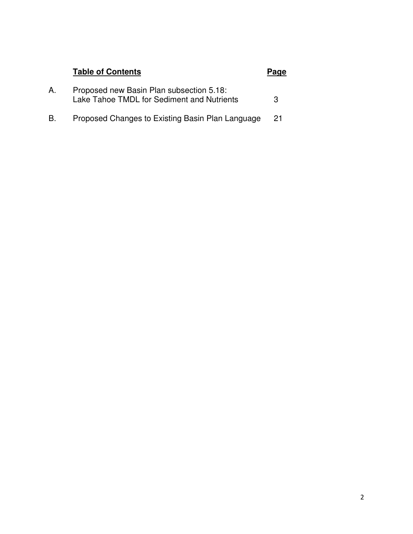# **Table of Contents Page**

| А. | Proposed new Basin Plan subsection 5.18:   |  |
|----|--------------------------------------------|--|
|    | Lake Tahoe TMDL for Sediment and Nutrients |  |
|    |                                            |  |

B. Proposed Changes to Existing Basin Plan Language 21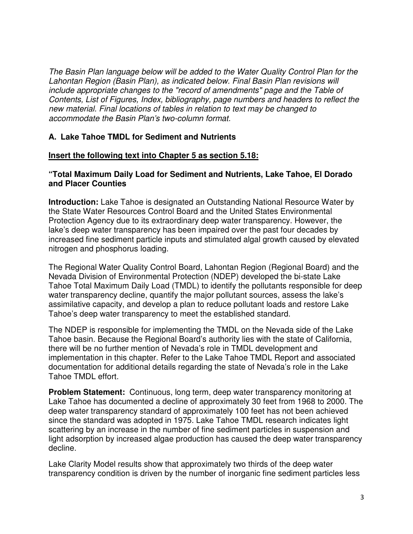The Basin Plan language below will be added to the Water Quality Control Plan for the Lahontan Region (Basin Plan), as indicated below. Final Basin Plan revisions will include appropriate changes to the "record of amendments" page and the Table of Contents, List of Figures, Index, bibliography, page numbers and headers to reflect the new material. Final locations of tables in relation to text may be changed to accommodate the Basin Plan's two-column format.

# **A. Lake Tahoe TMDL for Sediment and Nutrients**

#### **Insert the following text into Chapter 5 as section 5.18:**

#### **"Total Maximum Daily Load for Sediment and Nutrients, Lake Tahoe, El Dorado and Placer Counties**

**Introduction:** Lake Tahoe is designated an Outstanding National Resource Water by the State Water Resources Control Board and the United States Environmental Protection Agency due to its extraordinary deep water transparency. However, the lake's deep water transparency has been impaired over the past four decades by increased fine sediment particle inputs and stimulated algal growth caused by elevated nitrogen and phosphorus loading.

The Regional Water Quality Control Board, Lahontan Region (Regional Board) and the Nevada Division of Environmental Protection (NDEP) developed the bi-state Lake Tahoe Total Maximum Daily Load (TMDL) to identify the pollutants responsible for deep water transparency decline, quantify the major pollutant sources, assess the lake's assimilative capacity, and develop a plan to reduce pollutant loads and restore Lake Tahoe's deep water transparency to meet the established standard.

The NDEP is responsible for implementing the TMDL on the Nevada side of the Lake Tahoe basin. Because the Regional Board's authority lies with the state of California, there will be no further mention of Nevada's role in TMDL development and implementation in this chapter. Refer to the Lake Tahoe TMDL Report and associated documentation for additional details regarding the state of Nevada's role in the Lake Tahoe TMDL effort.

**Problem Statement:** Continuous, long term, deep water transparency monitoring at Lake Tahoe has documented a decline of approximately 30 feet from 1968 to 2000. The deep water transparency standard of approximately 100 feet has not been achieved since the standard was adopted in 1975. Lake Tahoe TMDL research indicates light scattering by an increase in the number of fine sediment particles in suspension and light adsorption by increased algae production has caused the deep water transparency decline.

Lake Clarity Model results show that approximately two thirds of the deep water transparency condition is driven by the number of inorganic fine sediment particles less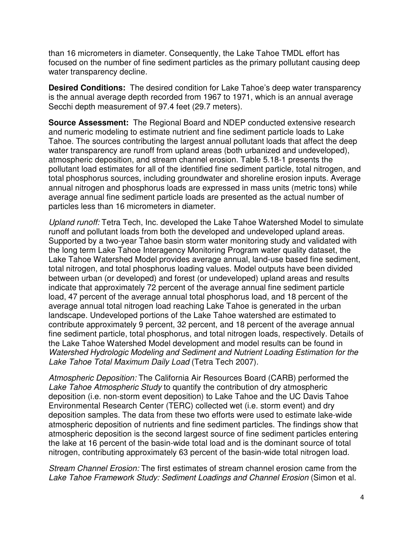than 16 micrometers in diameter. Consequently, the Lake Tahoe TMDL effort has focused on the number of fine sediment particles as the primary pollutant causing deep water transparency decline.

**Desired Conditions:** The desired condition for Lake Tahoe's deep water transparency is the annual average depth recorded from 1967 to 1971, which is an annual average Secchi depth measurement of 97.4 feet (29.7 meters).

**Source Assessment:** The Regional Board and NDEP conducted extensive research and numeric modeling to estimate nutrient and fine sediment particle loads to Lake Tahoe. The sources contributing the largest annual pollutant loads that affect the deep water transparency are runoff from upland areas (both urbanized and undeveloped), atmospheric deposition, and stream channel erosion. Table 5.18-1 presents the pollutant load estimates for all of the identified fine sediment particle, total nitrogen, and total phosphorus sources, including groundwater and shoreline erosion inputs. Average annual nitrogen and phosphorus loads are expressed in mass units (metric tons) while average annual fine sediment particle loads are presented as the actual number of particles less than 16 micrometers in diameter.

Upland runoff: Tetra Tech, Inc. developed the Lake Tahoe Watershed Model to simulate runoff and pollutant loads from both the developed and undeveloped upland areas. Supported by a two-year Tahoe basin storm water monitoring study and validated with the long term Lake Tahoe Interagency Monitoring Program water quality dataset, the Lake Tahoe Watershed Model provides average annual, land-use based fine sediment, total nitrogen, and total phosphorus loading values. Model outputs have been divided between urban (or developed) and forest (or undeveloped) upland areas and results indicate that approximately 72 percent of the average annual fine sediment particle load, 47 percent of the average annual total phosphorus load, and 18 percent of the average annual total nitrogen load reaching Lake Tahoe is generated in the urban landscape. Undeveloped portions of the Lake Tahoe watershed are estimated to contribute approximately 9 percent, 32 percent, and 18 percent of the average annual fine sediment particle, total phosphorus, and total nitrogen loads, respectively. Details of the Lake Tahoe Watershed Model development and model results can be found in Watershed Hydrologic Modeling and Sediment and Nutrient Loading Estimation for the Lake Tahoe Total Maximum Daily Load (Tetra Tech 2007).

Atmospheric Deposition: The California Air Resources Board (CARB) performed the Lake Tahoe Atmospheric Study to quantify the contribution of dry atmospheric deposition (i.e. non-storm event deposition) to Lake Tahoe and the UC Davis Tahoe Environmental Research Center (TERC) collected wet (i.e. storm event) and dry deposition samples. The data from these two efforts were used to estimate lake-wide atmospheric deposition of nutrients and fine sediment particles. The findings show that atmospheric deposition is the second largest source of fine sediment particles entering the lake at 16 percent of the basin-wide total load and is the dominant source of total nitrogen, contributing approximately 63 percent of the basin-wide total nitrogen load.

Stream Channel Erosion: The first estimates of stream channel erosion came from the Lake Tahoe Framework Study: Sediment Loadings and Channel Erosion (Simon et al.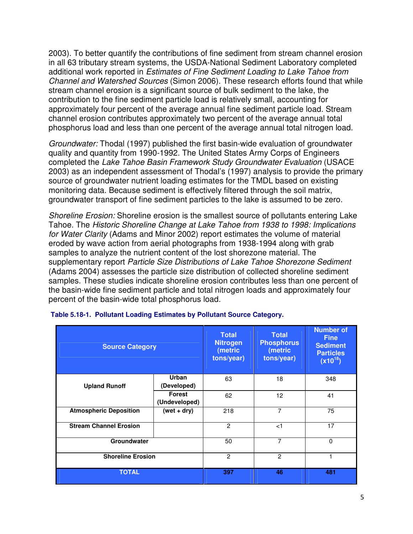2003). To better quantify the contributions of fine sediment from stream channel erosion in all 63 tributary stream systems, the USDA-National Sediment Laboratory completed additional work reported in Estimates of Fine Sediment Loading to Lake Tahoe from Channel and Watershed Sources (Simon 2006). These research efforts found that while stream channel erosion is a significant source of bulk sediment to the lake, the contribution to the fine sediment particle load is relatively small, accounting for approximately four percent of the average annual fine sediment particle load. Stream channel erosion contributes approximately two percent of the average annual total phosphorus load and less than one percent of the average annual total nitrogen load.

Groundwater: Thodal (1997) published the first basin-wide evaluation of groundwater quality and quantity from 1990-1992. The United States Army Corps of Engineers completed the Lake Tahoe Basin Framework Study Groundwater Evaluation (USACE 2003) as an independent assessment of Thodal's (1997) analysis to provide the primary source of groundwater nutrient loading estimates for the TMDL based on existing monitoring data. Because sediment is effectively filtered through the soil matrix, groundwater transport of fine sediment particles to the lake is assumed to be zero.

Shoreline Erosion: Shoreline erosion is the smallest source of pollutants entering Lake Tahoe. The Historic Shoreline Change at Lake Tahoe from 1938 to 1998: Implications for Water Clarity (Adams and Minor 2002) report estimates the volume of material eroded by wave action from aerial photographs from 1938-1994 along with grab samples to analyze the nutrient content of the lost shorezone material. The supplementary report Particle Size Distributions of Lake Tahoe Shorezone Sediment (Adams 2004) assesses the particle size distribution of collected shoreline sediment samples. These studies indicate shoreline erosion contributes less than one percent of the basin-wide fine sediment particle and total nitrogen loads and approximately four percent of the basin-wide total phosphorus load.

| <b>Source Category</b>        |                                | <b>Total</b><br><b>Nitrogen</b><br>(metric<br>tons/year) | <b>Total</b><br><b>Phosphorus</b><br>(metric<br>tons/year) | <b>Number of</b><br><b>Fine</b><br><b>Sediment</b><br><b>Particles</b><br>$(x10^{18})$ |
|-------------------------------|--------------------------------|----------------------------------------------------------|------------------------------------------------------------|----------------------------------------------------------------------------------------|
| <b>Upland Runoff</b>          | <b>Urban</b><br>(Developed)    | 63                                                       | 18                                                         | 348                                                                                    |
|                               | <b>Forest</b><br>(Undeveloped) | 62                                                       | 12                                                         | 41                                                                                     |
| <b>Atmospheric Deposition</b> | $(wet + dry)$                  | 218                                                      | 7                                                          | 75                                                                                     |
| <b>Stream Channel Erosion</b> |                                | $\overline{2}$                                           | < 1                                                        | 17                                                                                     |
| Groundwater                   |                                |                                                          |                                                            | $\Omega$                                                                               |
| <b>Shoreline Erosion</b>      |                                | $\overline{2}$                                           | $\mathcal{P}$                                              | 1                                                                                      |
| <b>TOTAL</b>                  |                                | 397                                                      | 46                                                         | 481                                                                                    |

|  | Table 5.18-1. Pollutant Loading Estimates by Pollutant Source Category. |  |  |  |
|--|-------------------------------------------------------------------------|--|--|--|
|--|-------------------------------------------------------------------------|--|--|--|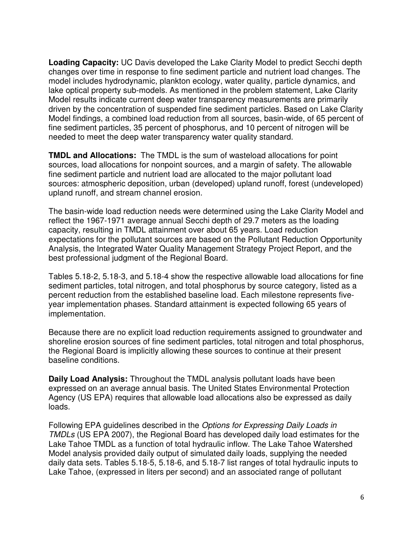**Loading Capacity:** UC Davis developed the Lake Clarity Model to predict Secchi depth changes over time in response to fine sediment particle and nutrient load changes. The model includes hydrodynamic, plankton ecology, water quality, particle dynamics, and lake optical property sub-models. As mentioned in the problem statement, Lake Clarity Model results indicate current deep water transparency measurements are primarily driven by the concentration of suspended fine sediment particles. Based on Lake Clarity Model findings, a combined load reduction from all sources, basin-wide, of 65 percent of fine sediment particles, 35 percent of phosphorus, and 10 percent of nitrogen will be needed to meet the deep water transparency water quality standard.

**TMDL and Allocations:** The TMDL is the sum of wasteload allocations for point sources, load allocations for nonpoint sources, and a margin of safety. The allowable fine sediment particle and nutrient load are allocated to the major pollutant load sources: atmospheric deposition, urban (developed) upland runoff, forest (undeveloped) upland runoff, and stream channel erosion.

The basin-wide load reduction needs were determined using the Lake Clarity Model and reflect the 1967-1971 average annual Secchi depth of 29.7 meters as the loading capacity, resulting in TMDL attainment over about 65 years. Load reduction expectations for the pollutant sources are based on the Pollutant Reduction Opportunity Analysis, the Integrated Water Quality Management Strategy Project Report, and the best professional judgment of the Regional Board.

Tables 5.18-2, 5.18-3, and 5.18-4 show the respective allowable load allocations for fine sediment particles, total nitrogen, and total phosphorus by source category, listed as a percent reduction from the established baseline load. Each milestone represents fiveyear implementation phases. Standard attainment is expected following 65 years of implementation.

Because there are no explicit load reduction requirements assigned to groundwater and shoreline erosion sources of fine sediment particles, total nitrogen and total phosphorus, the Regional Board is implicitly allowing these sources to continue at their present baseline conditions.

**Daily Load Analysis:** Throughout the TMDL analysis pollutant loads have been expressed on an average annual basis. The United States Environmental Protection Agency (US EPA) requires that allowable load allocations also be expressed as daily loads.

Following EPA guidelines described in the Options for Expressing Daily Loads in TMDLs (US EPA 2007), the Regional Board has developed daily load estimates for the Lake Tahoe TMDL as a function of total hydraulic inflow. The Lake Tahoe Watershed Model analysis provided daily output of simulated daily loads, supplying the needed daily data sets. Tables 5.18-5, 5.18-6, and 5.18-7 list ranges of total hydraulic inputs to Lake Tahoe, (expressed in liters per second) and an associated range of pollutant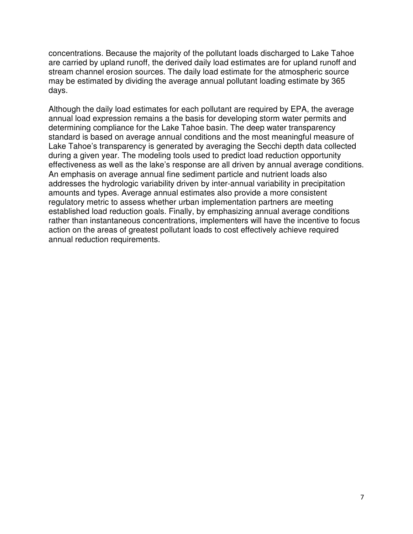concentrations. Because the majority of the pollutant loads discharged to Lake Tahoe are carried by upland runoff, the derived daily load estimates are for upland runoff and stream channel erosion sources. The daily load estimate for the atmospheric source may be estimated by dividing the average annual pollutant loading estimate by 365 days.

Although the daily load estimates for each pollutant are required by EPA, the average annual load expression remains a the basis for developing storm water permits and determining compliance for the Lake Tahoe basin. The deep water transparency standard is based on average annual conditions and the most meaningful measure of Lake Tahoe's transparency is generated by averaging the Secchi depth data collected during a given year. The modeling tools used to predict load reduction opportunity effectiveness as well as the lake's response are all driven by annual average conditions. An emphasis on average annual fine sediment particle and nutrient loads also addresses the hydrologic variability driven by inter-annual variability in precipitation amounts and types. Average annual estimates also provide a more consistent regulatory metric to assess whether urban implementation partners are meeting established load reduction goals. Finally, by emphasizing annual average conditions rather than instantaneous concentrations, implementers will have the incentive to focus action on the areas of greatest pollutant loads to cost effectively achieve required annual reduction requirements.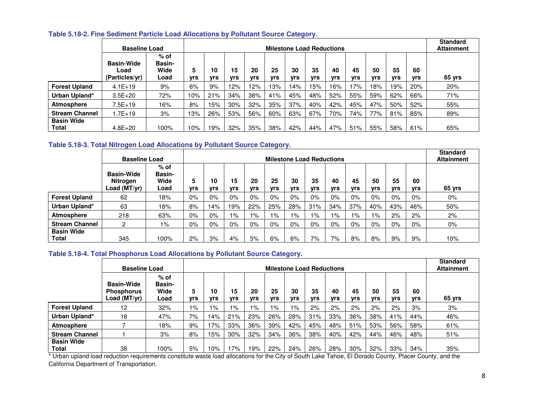|                            | <b>Baseline Load</b>                        | <b>Milestone Load Reductions</b>        |                 |                  |                  |                  |                  |                  |                  |                  |                  | <b>Standard</b><br><b>Attainment</b> |                  |           |        |
|----------------------------|---------------------------------------------|-----------------------------------------|-----------------|------------------|------------------|------------------|------------------|------------------|------------------|------------------|------------------|--------------------------------------|------------------|-----------|--------|
|                            | <b>Basin-Wide</b><br>Load<br>(Particles/yr) | $%$ of<br><b>Basin-</b><br>Wide<br>Load | 5<br><b>vrs</b> | 10<br><b>vrs</b> | 15<br><b>vrs</b> | 20<br><b>vrs</b> | 25<br><b>Vrs</b> | 30<br><b>vrs</b> | 35<br><b>vrs</b> | 40<br><b>Vrs</b> | 45<br><b>vrs</b> | 50<br><b>Vrs</b>                     | 55<br><b>vrs</b> | 60<br>yrs | 65 yrs |
| <b>Forest Upland</b>       | $4.1E+19$                                   | 9%                                      | 6%              | 9%               | 12%              | 12%              | 13%              | 14%              | 15%              | 16%              | l 7%             | 18%                                  | 19%              | 20%       | 20%    |
| Urban Upland*              | $3.5E + 20$                                 | 72%                                     | 10%             | 21%              | 34%              | 38%              | 41%              | 45%              | 48%              | 52%              | 55%              | 59%                                  | 62%              | 66%       | 71%    |
| Atmosphere                 | $7.5E+19$                                   | 16%                                     | 8%              | 15%              | $30\%$           | 32%              | 35%              | 37%              | 40%              | 42%              | 45%              | 47%                                  | 50%              | 52%       | 55%    |
| <b>Stream Channel</b>      | 1.7E+19                                     | 3%                                      | 13%             | 26%              | 53%              | 56%              | 60%              | 63%              | 67%              | 70%              | 74%              | 77%                                  | 81%              | 85%       | 89%    |
| <b>Basin Wide</b><br>Total | $4.8E + 20$                                 | 100%                                    | 10%             | 19%              | 32%              | 35%              | 38%              | 42%              | 44%              | 47%              | 51%              | 55%                                  | 58%              | 61%       | 65%    |

#### **Table 5.18-2. Fine Sediment Particle Load Allocations by Pollutant Source Category.**

#### **Table 5.18-3. Total Nitrogen Load Allocations by Pollutant Source Category.**

|                            | <b>Baseline Load</b>                          | <b>Milestone Load Reductions</b>        |           |                  |                  |                  |                  |                  |                  |                  |                  |           | <b>Standard</b><br><b>Attainment</b> |           |        |
|----------------------------|-----------------------------------------------|-----------------------------------------|-----------|------------------|------------------|------------------|------------------|------------------|------------------|------------------|------------------|-----------|--------------------------------------|-----------|--------|
|                            | <b>Basin-Wide</b><br>Nitrogen<br>Load (MT/yr) | $%$ of<br><b>Basin-</b><br>Wide<br>Load | 5.<br>vrs | 10<br><b>vrs</b> | 15<br><b>vrs</b> | 20<br><b>vrs</b> | 25<br><b>vrs</b> | 30<br><b>vrs</b> | 35<br><b>vrs</b> | 40<br><b>vrs</b> | 45<br><b>vrs</b> | 50<br>vrs | 55<br><b>Vrs</b>                     | 60<br>yrs | 65 yrs |
| <b>Forest Upland</b>       | 62                                            | 18%                                     | 0%        | 0%               | $0\%$            | $0\%$            | $0\%$            | 0%               | 0%               | 0%               | $0\%$            | $0\%$     | 0%                                   | $0\%$     | $0\%$  |
| Urban Upland*              | 63                                            | 18%                                     | 8%        | 14%              | 19%              | 22%              | 25%              | 28%              | 31%              | 34%              | 37%              | 40%       | 43%                                  | 46%       | 50%    |
| <b>Atmosphere</b>          | 218                                           | 63%                                     | 0%        | $0\%$            | 1%               | 1%               | $1\%$            | 1%               | 1%               | 1%               | $1\%$            | 1%        | 2%                                   | 2%        | 2%     |
| <b>Stream Channel</b>      | 2                                             | 1%                                      | $0\%$     | 0%               | $0\%$            | $0\%$            | 0%               | 0%               | 0%               | 0%               | $0\%$            | $0\%$     | $0\%$                                | $0\%$     | $0\%$  |
| <b>Basin Wide</b><br>Total | 345                                           | 100%                                    | 2%        | 3%               | 4%               | 5%               | 6%               | 6%               | 7%               | 7%               | 8%               | 8%        | 9%                                   | 9%        | 10%    |

#### **Table 5.18-4. Total Phosphorus Load Allocations by Pollutant Source Category.**

|                            | <b>Baseline Load</b>                                   | <b>Milestone Load Reductions</b>        |                 |                  |                  |                  |           |                  |                  |                  |           | <b>Standard</b><br><b>Attainment</b> |                  |           |        |
|----------------------------|--------------------------------------------------------|-----------------------------------------|-----------------|------------------|------------------|------------------|-----------|------------------|------------------|------------------|-----------|--------------------------------------|------------------|-----------|--------|
|                            | <b>Basin-Wide</b><br><b>Phosphorus</b><br>Load (MT/yr) | $%$ of<br><b>Basin-</b><br>Wide<br>Load | 5<br><b>vrs</b> | 10<br><b>vrs</b> | 15<br><b>Vrs</b> | 20<br><b>vrs</b> | 25<br>vrs | 30<br><b>vrs</b> | 35<br><b>vrs</b> | 40<br><b>vrs</b> | 45<br>vrs | 50<br><b>vrs</b>                     | 55<br><b>vrs</b> | 60<br>yrs | 65 yrs |
| <b>Forest Upland</b>       | 12 <sup>°</sup>                                        | 32%                                     | 1%              | $1\%$            | $1\%$            | $1\%$            | $1\%$     | $1\%$            | 2%               | 2%               | 2%        | 2%                                   | 2%               | 3%        | 3%     |
| Urban Upland*              | 18                                                     | 47%                                     | 7%              | 14%              | 21%              | 23%              | 26%       | 28%              | 31%              | 33%              | 36%       | 38%                                  | 41%              | 44%       | 46%    |
| <b>Atmosphere</b>          |                                                        | 18%                                     | 9%              | 17%              | 33%              | 36%              | 39%       | 42%              | 45%              | 48%              | 51%       | 53%                                  | 56%              | 58%       | 61%    |
| <b>Stream Channel</b>      |                                                        | 3%                                      | 8%              | 15%              | 30%              | 32%              | 34%       | 36%              | 38%              | 40%              | 42%       | 44%                                  | 46%              | 48%       | 51%    |
| <b>Basin Wide</b><br>Total | 38                                                     | 100%                                    | 5%              | 10%              | 17%              | 19%              | 22%       | 24%              | 26%              | 28%              | 30%       | 32%                                  | 33%              | 34%       | 35%    |

 \* Urban upland load reduction requirements constitute waste load allocations for the City of South Lake Tahoe, El Dorado County, Placer County, and the California Department of Transportation.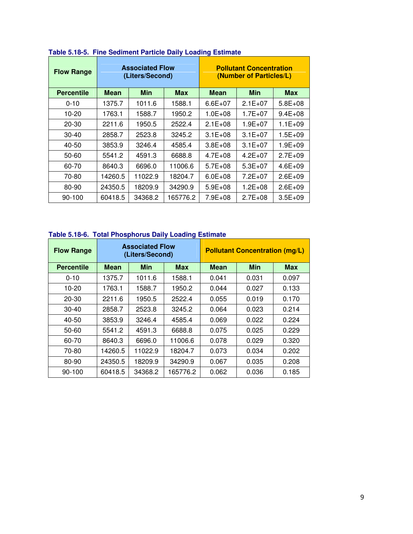| <b>Flow Range</b> |             | <b>Associated Flow</b><br>(Liters/Second) |            | <b>Pollutant Concentration</b><br>(Number of Particles/L) |             |              |  |  |
|-------------------|-------------|-------------------------------------------|------------|-----------------------------------------------------------|-------------|--------------|--|--|
| <b>Percentile</b> | <b>Mean</b> | <b>Min</b>                                | <b>Max</b> | <b>Mean</b>                                               | Min         | <b>Max</b>   |  |  |
| $0 - 10$          | 1375.7      | 1011.6                                    | 1588.1     | $6.6E + 07$                                               | $2.1E+07$   | $5.8E + 0.8$ |  |  |
| 10-20             | 1763.1      | 1588.7                                    | 1950.2     | $1.0E + 08$                                               | $1.7E + 07$ | $9.4E + 08$  |  |  |
| $20 - 30$         | 2211.6      | 1950.5                                    | 2522.4     | $2.1E + 08$                                               | $1.9E + 07$ | $1.1E + 0.9$ |  |  |
| $30 - 40$         | 2858.7      | 2523.8                                    | 3245.2     | $3.1E + 08$                                               | $3.1E + 07$ | 1.5E+09      |  |  |
| 40-50             | 3853.9      | 3246.4                                    | 4585.4     | $3.8E + 0.8$                                              | $3.1E + 07$ | 1.9E+09      |  |  |
| 50-60             | 5541.2      | 4591.3                                    | 6688.8     | $4.7E + 08$                                               | $4.2E + 07$ | $2.7E + 0.9$ |  |  |
| 60-70             | 8640.3      | 6696.0                                    | 11006.6    | $5.7E + 08$                                               | $5.3E+07$   | $4.6E + 09$  |  |  |
| 70-80             | 14260.5     | 11022.9                                   | 18204.7    | $6.0E + 08$                                               | $7.2E + 07$ | $2.6E + 09$  |  |  |
| 80-90             | 24350.5     | 18209.9                                   | 34290.9    | $5.9E + 08$                                               | $1.2E + 08$ | $2.6E + 09$  |  |  |
| 90-100            | 60418.5     | 34368.2                                   | 165776.2   | $7.9E + 08$                                               | $2.7E + 08$ | $3.5E + 09$  |  |  |

#### **Table 5.18-5. Fine Sediment Particle Daily Loading Estimate**

# **Table 5.18-6. Total Phosphorus Daily Loading Estimate**

| <b>Flow Range</b> |         | <b>Associated Flow</b><br>(Liters/Second) |            | <b>Pollutant Concentration (mg/L)</b> |            |            |  |  |
|-------------------|---------|-------------------------------------------|------------|---------------------------------------|------------|------------|--|--|
| <b>Percentile</b> | Mean    | Min                                       | <b>Max</b> | <b>Mean</b>                           | <b>Min</b> | <b>Max</b> |  |  |
| $0 - 10$          | 1375.7  | 1011.6                                    | 1588.1     | 0.041                                 | 0.031      | 0.097      |  |  |
| 10-20             | 1763.1  | 1588.7                                    | 1950.2     | 0.044                                 | 0.027      | 0.133      |  |  |
| 20-30             | 2211.6  | 1950.5                                    | 2522.4     | 0.055                                 | 0.019      | 0.170      |  |  |
| $30-40$           | 2858.7  | 2523.8                                    | 3245.2     | 0.064                                 | 0.023      | 0.214      |  |  |
| 40-50             | 3853.9  | 3246.4                                    | 4585.4     | 0.069                                 | 0.022      | 0.224      |  |  |
| 50-60             | 5541.2  | 4591.3                                    | 6688.8     | 0.075                                 | 0.025      | 0.229      |  |  |
| 60-70             | 8640.3  | 6696.0                                    | 11006.6    | 0.078                                 | 0.029      | 0.320      |  |  |
| 70-80             | 14260.5 | 11022.9                                   | 18204.7    | 0.073                                 | 0.034      | 0.202      |  |  |
| 80-90             | 24350.5 | 18209.9                                   | 34290.9    | 0.067                                 | 0.035      | 0.208      |  |  |
| $90-100$          | 60418.5 | 34368.2                                   | 165776.2   | 0.062                                 | 0.036      | 0.185      |  |  |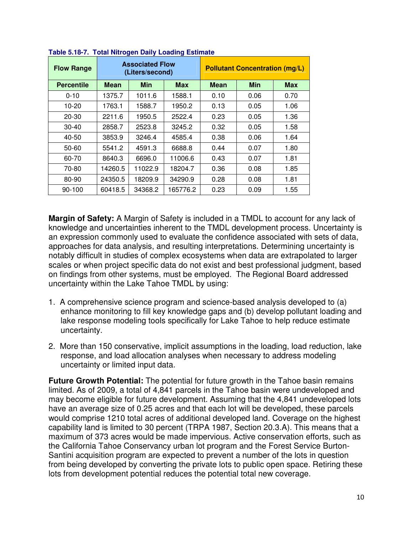| <b>Flow Range</b> |             | <b>Associated Flow</b><br>(Liters/second) |            | <b>Pollutant Concentration (mg/L)</b> |            |            |  |  |
|-------------------|-------------|-------------------------------------------|------------|---------------------------------------|------------|------------|--|--|
| <b>Percentile</b> | <b>Mean</b> | <b>Min</b>                                | <b>Max</b> | Mean                                  | <b>Min</b> | <b>Max</b> |  |  |
| $0 - 10$          | 1375.7      | 1011.6                                    | 1588.1     | 0.10                                  | 0.06       | 0.70       |  |  |
| 10-20             | 1763.1      | 1588.7                                    | 1950.2     | 0.13                                  | 0.05       | 1.06       |  |  |
| 20-30             | 2211.6      | 1950.5                                    | 2522.4     | 0.23                                  | 0.05       | 1.36       |  |  |
| 30-40             | 2858.7      | 2523.8                                    | 3245.2     | 0.32                                  | 0.05       | 1.58       |  |  |
| 40-50             | 3853.9      | 3246.4                                    | 4585.4     | 0.38                                  | 0.06       | 1.64       |  |  |
| 50-60             | 5541.2      | 4591.3                                    | 6688.8     | 0.44                                  | 0.07       | 1.80       |  |  |
| 60-70             | 8640.3      | 6696.0                                    | 11006.6    | 0.43                                  | 0.07       | 1.81       |  |  |
| 70-80             | 14260.5     | 11022.9                                   | 18204.7    | 0.36                                  | 0.08       | 1.85       |  |  |
| 80-90             | 24350.5     | 18209.9                                   | 34290.9    | 0.28                                  | 0.08       | 1.81       |  |  |
| $90-100$          | 60418.5     | 34368.2                                   | 165776.2   | 0.23                                  | 0.09       | 1.55       |  |  |

**Margin of Safety:** A Margin of Safety is included in a TMDL to account for any lack of knowledge and uncertainties inherent to the TMDL development process. Uncertainty is an expression commonly used to evaluate the confidence associated with sets of data, approaches for data analysis, and resulting interpretations. Determining uncertainty is notably difficult in studies of complex ecosystems when data are extrapolated to larger scales or when project specific data do not exist and best professional judgment, based on findings from other systems, must be employed. The Regional Board addressed uncertainty within the Lake Tahoe TMDL by using:

- 1. A comprehensive science program and science-based analysis developed to (a) enhance monitoring to fill key knowledge gaps and (b) develop pollutant loading and lake response modeling tools specifically for Lake Tahoe to help reduce estimate uncertainty.
- 2. More than 150 conservative, implicit assumptions in the loading, load reduction, lake response, and load allocation analyses when necessary to address modeling uncertainty or limited input data.

**Future Growth Potential:** The potential for future growth in the Tahoe basin remains limited. As of 2009, a total of 4,841 parcels in the Tahoe basin were undeveloped and may become eligible for future development. Assuming that the 4,841 undeveloped lots have an average size of 0.25 acres and that each lot will be developed, these parcels would comprise 1210 total acres of additional developed land. Coverage on the highest capability land is limited to 30 percent (TRPA 1987, Section 20.3.A). This means that a maximum of 373 acres would be made impervious. Active conservation efforts, such as the California Tahoe Conservancy urban lot program and the Forest Service Burton-Santini acquisition program are expected to prevent a number of the lots in question from being developed by converting the private lots to public open space. Retiring these lots from development potential reduces the potential total new coverage.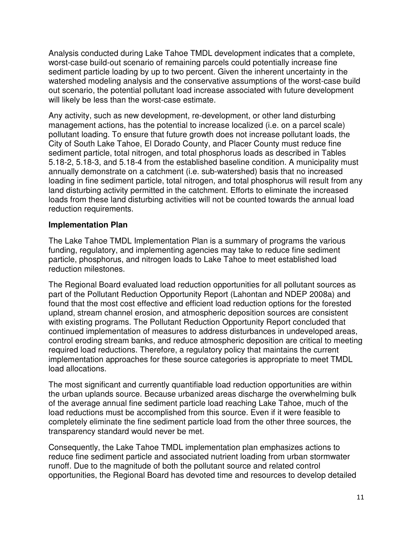Analysis conducted during Lake Tahoe TMDL development indicates that a complete, worst-case build-out scenario of remaining parcels could potentially increase fine sediment particle loading by up to two percent. Given the inherent uncertainty in the watershed modeling analysis and the conservative assumptions of the worst-case build out scenario, the potential pollutant load increase associated with future development will likely be less than the worst-case estimate.

Any activity, such as new development, re-development, or other land disturbing management actions, has the potential to increase localized (i.e. on a parcel scale) pollutant loading. To ensure that future growth does not increase pollutant loads, the City of South Lake Tahoe, El Dorado County, and Placer County must reduce fine sediment particle, total nitrogen, and total phosphorus loads as described in Tables 5.18-2, 5.18-3, and 5.18-4 from the established baseline condition. A municipality must annually demonstrate on a catchment (i.e. sub-watershed) basis that no increased loading in fine sediment particle, total nitrogen, and total phosphorus will result from any land disturbing activity permitted in the catchment. Efforts to eliminate the increased loads from these land disturbing activities will not be counted towards the annual load reduction requirements.

# **Implementation Plan**

The Lake Tahoe TMDL Implementation Plan is a summary of programs the various funding, regulatory, and implementing agencies may take to reduce fine sediment particle, phosphorus, and nitrogen loads to Lake Tahoe to meet established load reduction milestones.

The Regional Board evaluated load reduction opportunities for all pollutant sources as part of the Pollutant Reduction Opportunity Report (Lahontan and NDEP 2008a) and found that the most cost effective and efficient load reduction options for the forested upland, stream channel erosion, and atmospheric deposition sources are consistent with existing programs. The Pollutant Reduction Opportunity Report concluded that continued implementation of measures to address disturbances in undeveloped areas, control eroding stream banks, and reduce atmospheric deposition are critical to meeting required load reductions. Therefore, a regulatory policy that maintains the current implementation approaches for these source categories is appropriate to meet TMDL load allocations.

The most significant and currently quantifiable load reduction opportunities are within the urban uplands source. Because urbanized areas discharge the overwhelming bulk of the average annual fine sediment particle load reaching Lake Tahoe, much of the load reductions must be accomplished from this source. Even if it were feasible to completely eliminate the fine sediment particle load from the other three sources, the transparency standard would never be met.

Consequently, the Lake Tahoe TMDL implementation plan emphasizes actions to reduce fine sediment particle and associated nutrient loading from urban stormwater runoff. Due to the magnitude of both the pollutant source and related control opportunities, the Regional Board has devoted time and resources to develop detailed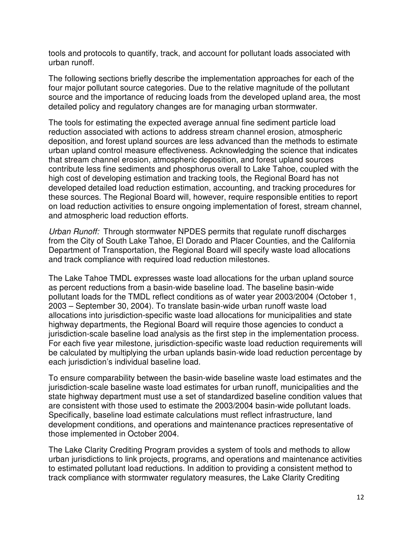tools and protocols to quantify, track, and account for pollutant loads associated with urban runoff.

The following sections briefly describe the implementation approaches for each of the four major pollutant source categories. Due to the relative magnitude of the pollutant source and the importance of reducing loads from the developed upland area, the most detailed policy and regulatory changes are for managing urban stormwater.

The tools for estimating the expected average annual fine sediment particle load reduction associated with actions to address stream channel erosion, atmospheric deposition, and forest upland sources are less advanced than the methods to estimate urban upland control measure effectiveness. Acknowledging the science that indicates that stream channel erosion, atmospheric deposition, and forest upland sources contribute less fine sediments and phosphorus overall to Lake Tahoe, coupled with the high cost of developing estimation and tracking tools, the Regional Board has not developed detailed load reduction estimation, accounting, and tracking procedures for these sources. The Regional Board will, however, require responsible entities to report on load reduction activities to ensure ongoing implementation of forest, stream channel, and atmospheric load reduction efforts.

Urban Runoff: Through stormwater NPDES permits that regulate runoff discharges from the City of South Lake Tahoe, El Dorado and Placer Counties, and the California Department of Transportation, the Regional Board will specify waste load allocations and track compliance with required load reduction milestones.

The Lake Tahoe TMDL expresses waste load allocations for the urban upland source as percent reductions from a basin-wide baseline load. The baseline basin-wide pollutant loads for the TMDL reflect conditions as of water year 2003/2004 (October 1, 2003 – September 30, 2004). To translate basin-wide urban runoff waste load allocations into jurisdiction-specific waste load allocations for municipalities and state highway departments, the Regional Board will require those agencies to conduct a jurisdiction-scale baseline load analysis as the first step in the implementation process. For each five year milestone, jurisdiction-specific waste load reduction requirements will be calculated by multiplying the urban uplands basin-wide load reduction percentage by each jurisdiction's individual baseline load.

To ensure comparability between the basin-wide baseline waste load estimates and the jurisdiction-scale baseline waste load estimates for urban runoff, municipalities and the state highway department must use a set of standardized baseline condition values that are consistent with those used to estimate the 2003/2004 basin-wide pollutant loads. Specifically, baseline load estimate calculations must reflect infrastructure, land development conditions, and operations and maintenance practices representative of those implemented in October 2004.

The Lake Clarity Crediting Program provides a system of tools and methods to allow urban jurisdictions to link projects, programs, and operations and maintenance activities to estimated pollutant load reductions. In addition to providing a consistent method to track compliance with stormwater regulatory measures, the Lake Clarity Crediting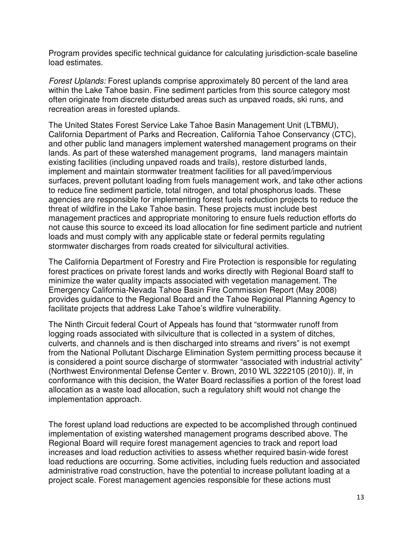Program provides specific technical guidance for calculating jurisdiction-scale baseline load estimates.

Forest Uplands: Forest uplands comprise approximately 80 percent of the land area within the Lake Tahoe basin. Fine sediment particles from this source category most often originate from discrete disturbed areas such as unpaved roads, ski runs, and recreation areas in forested uplands.

The United States Forest Service Lake Tahoe Basin Management Unit (LTBMU), California Department of Parks and Recreation, California Tahoe Conservancy (CTC), and other public land managers implement watershed management programs on their lands. As part of these watershed management programs, land managers maintain existing facilities (including unpaved roads and trails), restore disturbed lands, implement and maintain stormwater treatment facilities for all paved/impervious surfaces, prevent pollutant loading from fuels management work, and take other actions to reduce fine sediment particle, total nitrogen, and total phosphorus loads. These agencies are responsible for implementing forest fuels reduction projects to reduce the threat of wildfire in the Lake Tahoe basin. These projects must include best management practices and appropriate monitoring to ensure fuels reduction efforts do not cause this source to exceed its load allocation for fine sediment particle and nutrient loads and must comply with any applicable state or federal permits regulating stormwater discharges from roads created for silvicultural activities.

The California Department of Forestry and Fire Protection is responsible for regulating forest practices on private forest lands and works directly with Regional Board staff to minimize the water quality impacts associated with vegetation management. The Emergency California-Nevada Tahoe Basin Fire Commission Report (May 2008) provides guidance to the Regional Board and the Tahoe Regional Planning Agency to facilitate projects that address Lake Tahoe's wildfire vulnerability.

The Ninth Circuit federal Court of Appeals has found that "stormwater runoff from logging roads associated with silviculture that is collected in a system of ditches, culverts, and channels and is then discharged into streams and rivers" is not exempt from the National Pollutant Discharge Elimination System permitting process because it is considered a point source discharge of stormwater "associated with industrial activity" (Northwest Environmental Defense Center v. Brown, 2010 WL 3222105 (2010)). If, in conformance with this decision, the Water Board reclassifies a portion of the forest load allocation as a waste load allocation, such a regulatory shift would not change the implementation approach.

The forest upland load reductions are expected to be accomplished through continued implementation of existing watershed management programs described above. The Regional Board will require forest management agencies to track and report load increases and load reduction activities to assess whether required basin-wide forest load reductions are occurring. Some activities, including fuels reduction and associated administrative road construction, have the potential to increase pollutant loading at a project scale. Forest management agencies responsible for these actions must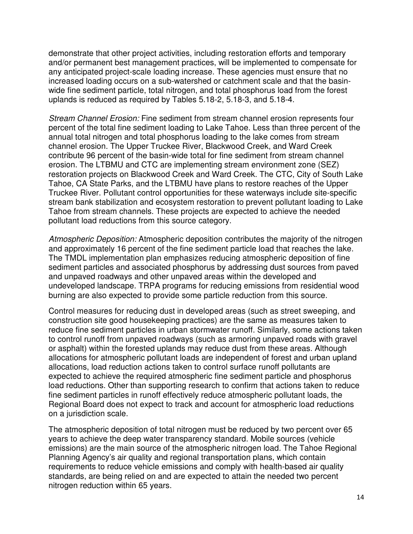demonstrate that other project activities, including restoration efforts and temporary and/or permanent best management practices, will be implemented to compensate for any anticipated project-scale loading increase. These agencies must ensure that no increased loading occurs on a sub-watershed or catchment scale and that the basinwide fine sediment particle, total nitrogen, and total phosphorus load from the forest uplands is reduced as required by Tables 5.18-2, 5.18-3, and 5.18-4.

Stream Channel Erosion: Fine sediment from stream channel erosion represents four percent of the total fine sediment loading to Lake Tahoe. Less than three percent of the annual total nitrogen and total phosphorus loading to the lake comes from stream channel erosion. The Upper Truckee River, Blackwood Creek, and Ward Creek contribute 96 percent of the basin-wide total for fine sediment from stream channel erosion. The LTBMU and CTC are implementing stream environment zone (SEZ) restoration projects on Blackwood Creek and Ward Creek. The CTC, City of South Lake Tahoe, CA State Parks, and the LTBMU have plans to restore reaches of the Upper Truckee River. Pollutant control opportunities for these waterways include site-specific stream bank stabilization and ecosystem restoration to prevent pollutant loading to Lake Tahoe from stream channels. These projects are expected to achieve the needed pollutant load reductions from this source category.

Atmospheric Deposition: Atmospheric deposition contributes the majority of the nitrogen and approximately 16 percent of the fine sediment particle load that reaches the lake. The TMDL implementation plan emphasizes reducing atmospheric deposition of fine sediment particles and associated phosphorus by addressing dust sources from paved and unpaved roadways and other unpaved areas within the developed and undeveloped landscape. TRPA programs for reducing emissions from residential wood burning are also expected to provide some particle reduction from this source.

Control measures for reducing dust in developed areas (such as street sweeping, and construction site good housekeeping practices) are the same as measures taken to reduce fine sediment particles in urban stormwater runoff. Similarly, some actions taken to control runoff from unpaved roadways (such as armoring unpaved roads with gravel or asphalt) within the forested uplands may reduce dust from these areas. Although allocations for atmospheric pollutant loads are independent of forest and urban upland allocations, load reduction actions taken to control surface runoff pollutants are expected to achieve the required atmospheric fine sediment particle and phosphorus load reductions. Other than supporting research to confirm that actions taken to reduce fine sediment particles in runoff effectively reduce atmospheric pollutant loads, the Regional Board does not expect to track and account for atmospheric load reductions on a jurisdiction scale.

The atmospheric deposition of total nitrogen must be reduced by two percent over 65 years to achieve the deep water transparency standard. Mobile sources (vehicle emissions) are the main source of the atmospheric nitrogen load. The Tahoe Regional Planning Agency's air quality and regional transportation plans, which contain requirements to reduce vehicle emissions and comply with health-based air quality standards, are being relied on and are expected to attain the needed two percent nitrogen reduction within 65 years.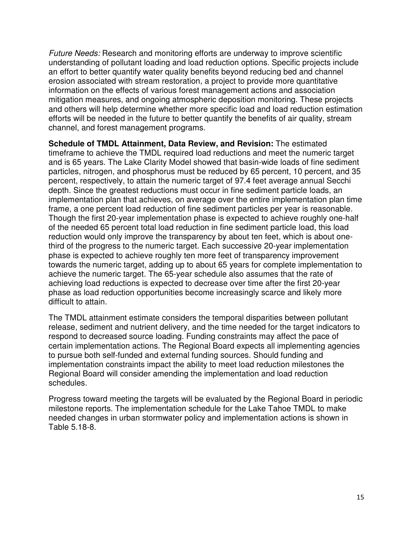Future Needs: Research and monitoring efforts are underway to improve scientific understanding of pollutant loading and load reduction options. Specific projects include an effort to better quantify water quality benefits beyond reducing bed and channel erosion associated with stream restoration, a project to provide more quantitative information on the effects of various forest management actions and association mitigation measures, and ongoing atmospheric deposition monitoring. These projects and others will help determine whether more specific load and load reduction estimation efforts will be needed in the future to better quantify the benefits of air quality, stream channel, and forest management programs.

**Schedule of TMDL Attainment, Data Review, and Revision:** The estimated timeframe to achieve the TMDL required load reductions and meet the numeric target and is 65 years. The Lake Clarity Model showed that basin-wide loads of fine sediment particles, nitrogen, and phosphorus must be reduced by 65 percent, 10 percent, and 35 percent, respectively, to attain the numeric target of 97.4 feet average annual Secchi depth. Since the greatest reductions must occur in fine sediment particle loads, an implementation plan that achieves, on average over the entire implementation plan time frame, a one percent load reduction of fine sediment particles per year is reasonable. Though the first 20-year implementation phase is expected to achieve roughly one-half of the needed 65 percent total load reduction in fine sediment particle load, this load reduction would only improve the transparency by about ten feet, which is about onethird of the progress to the numeric target. Each successive 20-year implementation phase is expected to achieve roughly ten more feet of transparency improvement towards the numeric target, adding up to about 65 years for complete implementation to achieve the numeric target. The 65-year schedule also assumes that the rate of achieving load reductions is expected to decrease over time after the first 20-year phase as load reduction opportunities become increasingly scarce and likely more difficult to attain.

The TMDL attainment estimate considers the temporal disparities between pollutant release, sediment and nutrient delivery, and the time needed for the target indicators to respond to decreased source loading. Funding constraints may affect the pace of certain implementation actions. The Regional Board expects all implementing agencies to pursue both self-funded and external funding sources. Should funding and implementation constraints impact the ability to meet load reduction milestones the Regional Board will consider amending the implementation and load reduction schedules.

Progress toward meeting the targets will be evaluated by the Regional Board in periodic milestone reports. The implementation schedule for the Lake Tahoe TMDL to make needed changes in urban stormwater policy and implementation actions is shown in Table 5.18-8.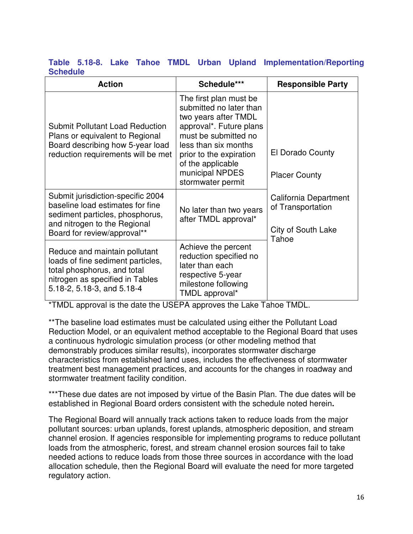#### **Table 5.18-8. Lake Tahoe TMDL Urban Upland Implementation/Reporting Schedule**

| <b>Action</b>                                                                                                                                                           | Schedule***                                                                                                                                                                                                                                  | <b>Responsible Party</b>                                                  |
|-------------------------------------------------------------------------------------------------------------------------------------------------------------------------|----------------------------------------------------------------------------------------------------------------------------------------------------------------------------------------------------------------------------------------------|---------------------------------------------------------------------------|
| <b>Submit Pollutant Load Reduction</b><br>Plans or equivalent to Regional<br>Board describing how 5-year load<br>reduction requirements will be met                     | The first plan must be<br>submitted no later than<br>two years after TMDL<br>approval*. Future plans<br>must be submitted no<br>less than six months<br>prior to the expiration<br>of the applicable<br>municipal NPDES<br>stormwater permit | El Dorado County<br><b>Placer County</b>                                  |
| Submit jurisdiction-specific 2004<br>baseline load estimates for fine<br>sediment particles, phosphorus,<br>and nitrogen to the Regional<br>Board for review/approval** | No later than two years<br>after TMDL approval*                                                                                                                                                                                              | California Department<br>of Transportation<br>City of South Lake<br>Tahoe |
| Reduce and maintain pollutant<br>loads of fine sediment particles,<br>total phosphorus, and total<br>nitrogen as specified in Tables<br>5.18-2, 5.18-3, and 5.18-4      | Achieve the percent<br>reduction specified no<br>later than each<br>respective 5-year<br>milestone following<br>TMDL approval*                                                                                                               |                                                                           |

\*TMDL approval is the date the USEPA approves the Lake Tahoe TMDL.

\*\*The baseline load estimates must be calculated using either the Pollutant Load Reduction Model, or an equivalent method acceptable to the Regional Board that uses a continuous hydrologic simulation process (or other modeling method that demonstrably produces similar results), incorporates stormwater discharge characteristics from established land uses, includes the effectiveness of stormwater treatment best management practices, and accounts for the changes in roadway and stormwater treatment facility condition.

\*\*\*These due dates are not imposed by virtue of the Basin Plan. The due dates will be established in Regional Board orders consistent with the schedule noted herein**.**

The Regional Board will annually track actions taken to reduce loads from the major pollutant sources: urban uplands, forest uplands, atmospheric deposition, and stream channel erosion. If agencies responsible for implementing programs to reduce pollutant loads from the atmospheric, forest, and stream channel erosion sources fail to take needed actions to reduce loads from those three sources in accordance with the load allocation schedule, then the Regional Board will evaluate the need for more targeted regulatory action.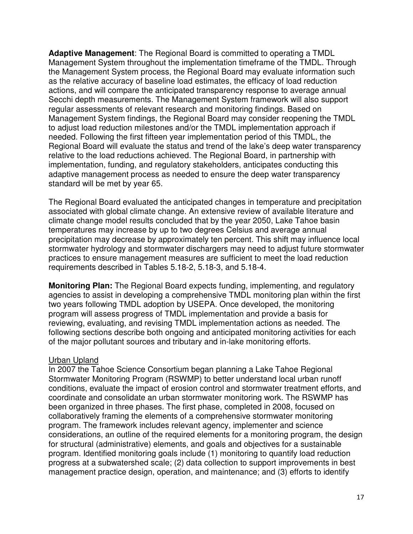**Adaptive Management**: The Regional Board is committed to operating a TMDL Management System throughout the implementation timeframe of the TMDL. Through the Management System process, the Regional Board may evaluate information such as the relative accuracy of baseline load estimates, the efficacy of load reduction actions, and will compare the anticipated transparency response to average annual Secchi depth measurements. The Management System framework will also support regular assessments of relevant research and monitoring findings. Based on Management System findings, the Regional Board may consider reopening the TMDL to adjust load reduction milestones and/or the TMDL implementation approach if needed. Following the first fifteen year implementation period of this TMDL, the Regional Board will evaluate the status and trend of the lake's deep water transparency relative to the load reductions achieved. The Regional Board, in partnership with implementation, funding, and regulatory stakeholders, anticipates conducting this adaptive management process as needed to ensure the deep water transparency standard will be met by year 65.

The Regional Board evaluated the anticipated changes in temperature and precipitation associated with global climate change. An extensive review of available literature and climate change model results concluded that by the year 2050, Lake Tahoe basin temperatures may increase by up to two degrees Celsius and average annual precipitation may decrease by approximately ten percent. This shift may influence local stormwater hydrology and stormwater dischargers may need to adjust future stormwater practices to ensure management measures are sufficient to meet the load reduction requirements described in Tables 5.18-2, 5.18-3, and 5.18-4.

**Monitoring Plan:** The Regional Board expects funding, implementing, and regulatory agencies to assist in developing a comprehensive TMDL monitoring plan within the first two years following TMDL adoption by USEPA. Once developed, the monitoring program will assess progress of TMDL implementation and provide a basis for reviewing, evaluating, and revising TMDL implementation actions as needed. The following sections describe both ongoing and anticipated monitoring activities for each of the major pollutant sources and tributary and in-lake monitoring efforts.

#### Urban Upland

In 2007 the Tahoe Science Consortium began planning a Lake Tahoe Regional Stormwater Monitoring Program (RSWMP) to better understand local urban runoff conditions, evaluate the impact of erosion control and stormwater treatment efforts, and coordinate and consolidate an urban stormwater monitoring work. The RSWMP has been organized in three phases. The first phase, completed in 2008, focused on collaboratively framing the elements of a comprehensive stormwater monitoring program. The framework includes relevant agency, implementer and science considerations, an outline of the required elements for a monitoring program, the design for structural (administrative) elements, and goals and objectives for a sustainable program. Identified monitoring goals include (1) monitoring to quantify load reduction progress at a subwatershed scale; (2) data collection to support improvements in best management practice design, operation, and maintenance; and (3) efforts to identify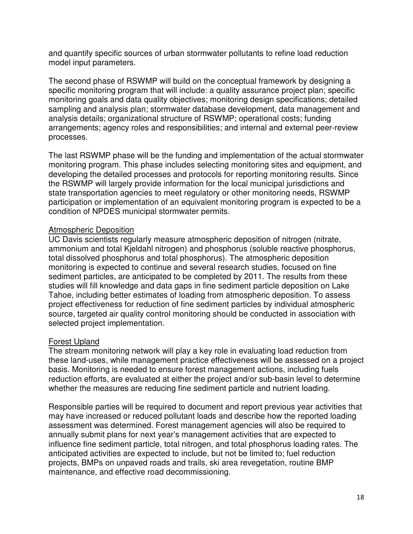and quantify specific sources of urban stormwater pollutants to refine load reduction model input parameters.

The second phase of RSWMP will build on the conceptual framework by designing a specific monitoring program that will include: a quality assurance project plan; specific monitoring goals and data quality objectives; monitoring design specifications; detailed sampling and analysis plan; stormwater database development, data management and analysis details; organizational structure of RSWMP; operational costs; funding arrangements; agency roles and responsibilities; and internal and external peer-review processes.

The last RSWMP phase will be the funding and implementation of the actual stormwater monitoring program. This phase includes selecting monitoring sites and equipment, and developing the detailed processes and protocols for reporting monitoring results. Since the RSWMP will largely provide information for the local municipal jurisdictions and state transportation agencies to meet regulatory or other monitoring needs, RSWMP participation or implementation of an equivalent monitoring program is expected to be a condition of NPDES municipal stormwater permits.

# Atmospheric Deposition

UC Davis scientists regularly measure atmospheric deposition of nitrogen (nitrate, ammonium and total Kjeldahl nitrogen) and phosphorus (soluble reactive phosphorus, total dissolved phosphorus and total phosphorus). The atmospheric deposition monitoring is expected to continue and several research studies, focused on fine sediment particles, are anticipated to be completed by 2011. The results from these studies will fill knowledge and data gaps in fine sediment particle deposition on Lake Tahoe, including better estimates of loading from atmospheric deposition. To assess project effectiveness for reduction of fine sediment particles by individual atmospheric source, targeted air quality control monitoring should be conducted in association with selected project implementation.

#### Forest Upland

The stream monitoring network will play a key role in evaluating load reduction from these land-uses, while management practice effectiveness will be assessed on a project basis. Monitoring is needed to ensure forest management actions, including fuels reduction efforts, are evaluated at either the project and/or sub-basin level to determine whether the measures are reducing fine sediment particle and nutrient loading.

Responsible parties will be required to document and report previous year activities that may have increased or reduced pollutant loads and describe how the reported loading assessment was determined. Forest management agencies will also be required to annually submit plans for next year's management activities that are expected to influence fine sediment particle, total nitrogen, and total phosphorus loading rates. The anticipated activities are expected to include, but not be limited to; fuel reduction projects, BMPs on unpaved roads and trails, ski area revegetation, routine BMP maintenance, and effective road decommissioning.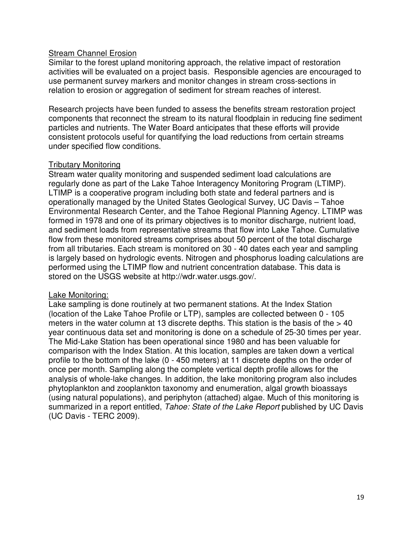#### **Stream Channel Erosion**

Similar to the forest upland monitoring approach, the relative impact of restoration activities will be evaluated on a project basis. Responsible agencies are encouraged to use permanent survey markers and monitor changes in stream cross-sections in relation to erosion or aggregation of sediment for stream reaches of interest.

Research projects have been funded to assess the benefits stream restoration project components that reconnect the stream to its natural floodplain in reducing fine sediment particles and nutrients. The Water Board anticipates that these efforts will provide consistent protocols useful for quantifying the load reductions from certain streams under specified flow conditions.

#### Tributary Monitoring

Stream water quality monitoring and suspended sediment load calculations are regularly done as part of the Lake Tahoe Interagency Monitoring Program (LTIMP). LTIMP is a cooperative program including both state and federal partners and is operationally managed by the United States Geological Survey, UC Davis – Tahoe Environmental Research Center, and the Tahoe Regional Planning Agency. LTIMP was formed in 1978 and one of its primary objectives is to monitor discharge, nutrient load, and sediment loads from representative streams that flow into Lake Tahoe. Cumulative flow from these monitored streams comprises about 50 percent of the total discharge from all tributaries. Each stream is monitored on 30 - 40 dates each year and sampling is largely based on hydrologic events. Nitrogen and phosphorus loading calculations are performed using the LTIMP flow and nutrient concentration database. This data is stored on the USGS website at http://wdr.water.usgs.gov/.

#### Lake Monitoring:

Lake sampling is done routinely at two permanent stations. At the Index Station (location of the Lake Tahoe Profile or LTP), samples are collected between 0 - 105 meters in the water column at 13 discrete depths. This station is the basis of the  $> 40$ year continuous data set and monitoring is done on a schedule of 25-30 times per year. The Mid-Lake Station has been operational since 1980 and has been valuable for comparison with the Index Station. At this location, samples are taken down a vertical profile to the bottom of the lake (0 - 450 meters) at 11 discrete depths on the order of once per month. Sampling along the complete vertical depth profile allows for the analysis of whole-lake changes. In addition, the lake monitoring program also includes phytoplankton and zooplankton taxonomy and enumeration, algal growth bioassays (using natural populations), and periphyton (attached) algae. Much of this monitoring is summarized in a report entitled, Tahoe: State of the Lake Report published by UC Davis (UC Davis - TERC 2009).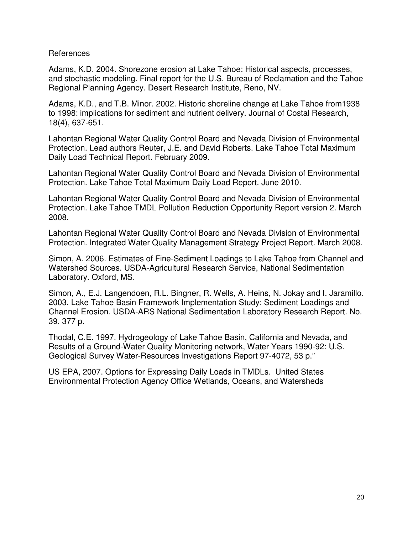#### References

Adams, K.D. 2004. Shorezone erosion at Lake Tahoe: Historical aspects, processes, and stochastic modeling. Final report for the U.S. Bureau of Reclamation and the Tahoe Regional Planning Agency. Desert Research Institute, Reno, NV.

Adams, K.D., and T.B. Minor. 2002. Historic shoreline change at Lake Tahoe from1938 to 1998: implications for sediment and nutrient delivery. Journal of Costal Research, 18(4), 637-651.

Lahontan Regional Water Quality Control Board and Nevada Division of Environmental Protection. Lead authors Reuter, J.E. and David Roberts. Lake Tahoe Total Maximum Daily Load Technical Report. February 2009.

Lahontan Regional Water Quality Control Board and Nevada Division of Environmental Protection. Lake Tahoe Total Maximum Daily Load Report. June 2010.

Lahontan Regional Water Quality Control Board and Nevada Division of Environmental Protection. Lake Tahoe TMDL Pollution Reduction Opportunity Report version 2. March 2008.

Lahontan Regional Water Quality Control Board and Nevada Division of Environmental Protection. Integrated Water Quality Management Strategy Project Report. March 2008.

Simon, A. 2006. Estimates of Fine-Sediment Loadings to Lake Tahoe from Channel and Watershed Sources. USDA-Agricultural Research Service, National Sedimentation Laboratory. Oxford, MS.

Simon, A., E.J. Langendoen, R.L. Bingner, R. Wells, A. Heins, N. Jokay and I. Jaramillo. 2003. Lake Tahoe Basin Framework Implementation Study: Sediment Loadings and Channel Erosion. USDA-ARS National Sedimentation Laboratory Research Report. No. 39. 377 p.

Thodal, C.E. 1997. Hydrogeology of Lake Tahoe Basin, California and Nevada, and Results of a Ground-Water Quality Monitoring network, Water Years 1990-92: U.S. Geological Survey Water-Resources Investigations Report 97-4072, 53 p."

US EPA, 2007. Options for Expressing Daily Loads in TMDLs. United States Environmental Protection Agency Office Wetlands, Oceans, and Watersheds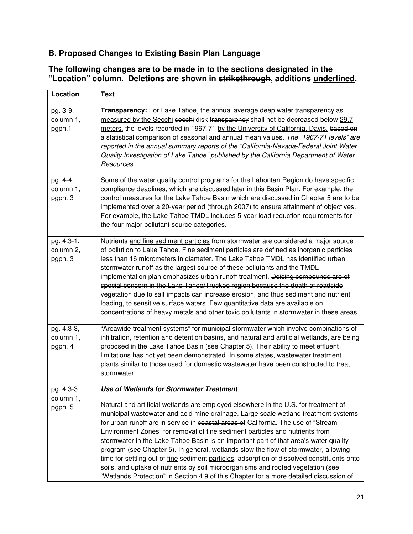# **B. Proposed Changes to Existing Basin Plan Language**

# **The following changes are to be made in to the sections designated in the "Location" column. Deletions are shown in strikethrough, additions underlined.**

| Location                           | <b>Text</b>                                                                                                                                                                                                                                                                                                                                                                                                                                                                                                                                                                                                                                                                                                                                                                        |
|------------------------------------|------------------------------------------------------------------------------------------------------------------------------------------------------------------------------------------------------------------------------------------------------------------------------------------------------------------------------------------------------------------------------------------------------------------------------------------------------------------------------------------------------------------------------------------------------------------------------------------------------------------------------------------------------------------------------------------------------------------------------------------------------------------------------------|
| pg. 3-9,<br>column 1,<br>pgph.1    | Transparency: For Lake Tahoe, the annual average deep water transparency as<br>measured by the Secchi seechi disk transparency shall not be decreased below 29.7<br>meters, the levels recorded in 1967-71 by the University of California, Davis. based on<br>a statistical comparison of seasonal and annual mean values. The "1967-71 levels" are<br>reported in the annual summary reports of the "California-Nevada-Federal Joint Water<br>Quality Investigation of Lake Tahoe" published by the California Department of Water<br>Resources.                                                                                                                                                                                                                                 |
| pg. 4-4,<br>column 1,<br>pgph. 3   | Some of the water quality control programs for the Lahontan Region do have specific<br>compliance deadlines, which are discussed later in this Basin Plan. For example, the<br>control measures for the Lake Tahoe Basin which are discussed in Chapter 5 are to be<br>implemented over a 20-year period (through 2007) to ensure attainment of objectives.<br>For example, the Lake Tahoe TMDL includes 5-year load reduction requirements for<br>the four major pollutant source categories.                                                                                                                                                                                                                                                                                     |
| pg. 4.3-1,<br>column 2,<br>pgph. 3 | Nutrients and fine sediment particles from stormwater are considered a major source<br>of pollution to Lake Tahoe. Fine sediment particles are defined as inorganic particles<br>less than 16 micrometers in diameter. The Lake Tahoe TMDL has identified urban<br>stormwater runoff as the largest source of these pollutants and the TMDL<br>implementation plan emphasizes urban runoff treatment. Deicing compounds are of<br>special concern in the Lake Tahoe/Truckee region because the death of roadside<br>vegetation due to salt impacts can increase erosion, and thus sediment and nutrient<br>loading, to sensitive surface waters. Few quantitative data are available on<br>concentrations of heavy metals and other toxic pollutants in stormwater in these areas. |
| pg. 4.3-3,<br>column 1,<br>pgph. 4 | "Areawide treatment systems" for municipal stormwater which involve combinations of<br>infiltration, retention and detention basins, and natural and artificial wetlands, are being<br>proposed in the Lake Tahoe Basin (see Chapter 5). Their ability to meet effluent<br>limitations has not yet been demonstrated. In some states, wastewater treatment<br>plants similar to those used for domestic wastewater have been constructed to treat<br>stormwater.                                                                                                                                                                                                                                                                                                                   |
| pg. 4.3-3,<br>column 1,            | <b>Use of Wetlands for Stormwater Treatment</b><br>Natural and artificial wetlands are employed elsewhere in the U.S. for treatment of                                                                                                                                                                                                                                                                                                                                                                                                                                                                                                                                                                                                                                             |
| pgph. 5                            | municipal wastewater and acid mine drainage. Large scale wetland treatment systems<br>for urban runoff are in service in coastal areas of California. The use of "Stream"<br>Environment Zones" for removal of fine sediment particles and nutrients from<br>stormwater in the Lake Tahoe Basin is an important part of that area's water quality<br>program (see Chapter 5). In general, wetlands slow the flow of stormwater, allowing<br>time for settling out of fine sediment particles, adsorption of dissolved constituents onto<br>soils, and uptake of nutrients by soil microorganisms and rooted vegetation (see<br>"Wetlands Protection" in Section 4.9 of this Chapter for a more detailed discussion of                                                              |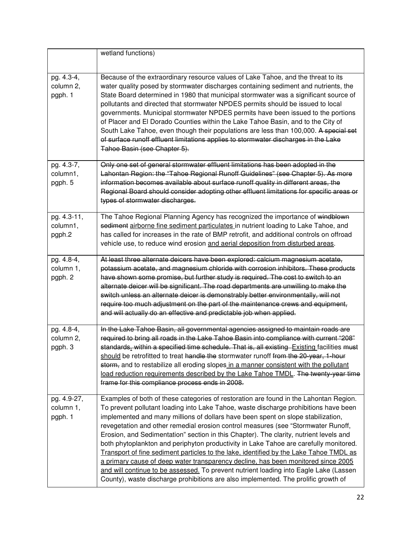|                                      | wetland functions)                                                                                                                                                                                                                                                                                                                                                                                                                                                                                                                                                                                                                                                                                                                                                                                                                                                                                      |
|--------------------------------------|---------------------------------------------------------------------------------------------------------------------------------------------------------------------------------------------------------------------------------------------------------------------------------------------------------------------------------------------------------------------------------------------------------------------------------------------------------------------------------------------------------------------------------------------------------------------------------------------------------------------------------------------------------------------------------------------------------------------------------------------------------------------------------------------------------------------------------------------------------------------------------------------------------|
| pg. 4.3-4,<br>column 2,<br>pgph. 1   | Because of the extraordinary resource values of Lake Tahoe, and the threat to its<br>water quality posed by stormwater discharges containing sediment and nutrients, the<br>State Board determined in 1980 that municipal stormwater was a significant source of<br>pollutants and directed that stormwater NPDES permits should be issued to local<br>governments. Municipal stormwater NPDES permits have been issued to the portions<br>of Placer and El Dorado Counties within the Lake Tahoe Basin, and to the City of<br>South Lake Tahoe, even though their populations are less than 100,000. A special set<br>of surface runoff effluent limitations applies to stormwater discharges in the Lake<br>Tahoe Basin (see Chapter 5).                                                                                                                                                              |
| pg. 4.3-7,<br>column1,<br>pgph. 5    | Only one set of general stormwater effluent limitations has been adopted in the<br>Lahontan Region: the "Tahoe Regional Runoff Guidelines" (see Chapter 5). As more<br>information becomes available about surface runoff quality in different areas, the<br>Regional Board should consider adopting other effluent limitations for specific areas or<br>types of stormwater discharges.                                                                                                                                                                                                                                                                                                                                                                                                                                                                                                                |
| pg. 4.3-11,<br>column1,<br>pgph.2    | The Tahoe Regional Planning Agency has recognized the importance of windblown<br>sediment airborne fine sediment particulates in nutrient loading to Lake Tahoe, and<br>has called for increases in the rate of BMP retrofit, and additional controls on offroad<br>vehicle use, to reduce wind erosion and aerial deposition from disturbed areas.                                                                                                                                                                                                                                                                                                                                                                                                                                                                                                                                                     |
| pg. 4.8-4,<br>column 1,<br>pgph. 2   | At least three alternate deicers have been explored: calcium magnesium acetate,<br>potassium acetate, and magnesium chloride with corrosion inhibitors. These products<br>have shown some promise, but further study is required. The cost to switch to an<br>alternate deicer will be significant. The road departments are unwilling to make the<br>switch unless an alternate deicer is demonstrably better environmentally, will not<br>require too much adjustment on the part of the maintenance crews and equipment,<br>and will actually do an effective and predictable job when applied.                                                                                                                                                                                                                                                                                                      |
| $pg. 4.8-4,$<br>column 2,<br>pgph. 3 | In the Lake Tahoe Basin, all governmental agencies assigned to maintain roads are<br>required to bring all roads in the Lake Tahoe Basin into compliance with current "208"<br>standards. within a specified time schedule. That is, all existing Existing facilities must<br>should be retrofitted to treat handle the stormwater runoff from the 20-year, 1-hour<br>storm, and to restabilize all eroding slopes in a manner consistent with the pollutant<br>load reduction requirements described by the Lake Tahoe TMDL. The twenty-year time<br>frame for this compliance process ends in 2008.                                                                                                                                                                                                                                                                                                   |
| pg. 4.9-27,<br>column 1,<br>pgph. 1  | Examples of both of these categories of restoration are found in the Lahontan Region.<br>To prevent pollutant loading into Lake Tahoe, waste discharge prohibitions have been<br>implemented and many millions of dollars have been spent on slope stabilization,<br>revegetation and other remedial erosion control measures (see "Stormwater Runoff,<br>Erosion, and Sedimentation" section in this Chapter). The clarity, nutrient levels and<br>both phytoplankton and periphyton productivity in Lake Tahoe are carefully monitored.<br>Transport of fine sediment particles to the lake, identified by the Lake Tahoe TMDL as<br>a primary cause of deep water transparency decline, has been monitored since 2005<br>and will continue to be assessed. To prevent nutrient loading into Eagle Lake (Lassen<br>County), waste discharge prohibitions are also implemented. The prolific growth of |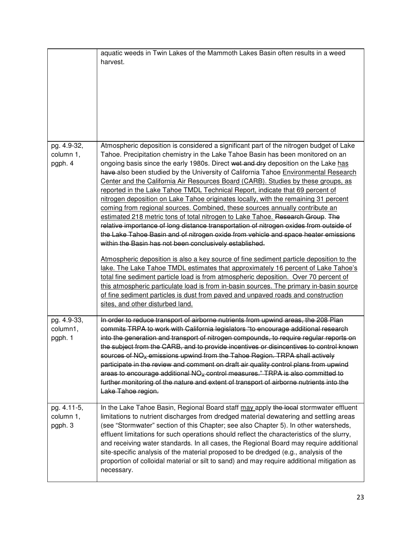|                                     | aquatic weeds in Twin Lakes of the Mammoth Lakes Basin often results in a weed<br>harvest.                                                                                                                                                                                                                                                                                                                                                                                                                                                                                                                                                                                                                                                                                                                                                                                                                                                                                                                                                                                                                                                                                                                                                                                                                                                                                                          |
|-------------------------------------|-----------------------------------------------------------------------------------------------------------------------------------------------------------------------------------------------------------------------------------------------------------------------------------------------------------------------------------------------------------------------------------------------------------------------------------------------------------------------------------------------------------------------------------------------------------------------------------------------------------------------------------------------------------------------------------------------------------------------------------------------------------------------------------------------------------------------------------------------------------------------------------------------------------------------------------------------------------------------------------------------------------------------------------------------------------------------------------------------------------------------------------------------------------------------------------------------------------------------------------------------------------------------------------------------------------------------------------------------------------------------------------------------------|
| pg. 4.9-32,<br>column 1,<br>pgph. 4 | Atmospheric deposition is considered a significant part of the nitrogen budget of Lake<br>Tahoe. Precipitation chemistry in the Lake Tahoe Basin has been monitored on an<br>ongoing basis since the early 1980s. Direct wet and dry deposition on the Lake has<br>have also been studied by the University of California Tahoe Environmental Research<br>Center and the California Air Resources Board (CARB). Studies by these groups, as<br>reported in the Lake Tahoe TMDL Technical Report, indicate that 69 percent of<br>nitrogen deposition on Lake Tahoe originates locally, with the remaining 31 percent<br>coming from regional sources. Combined, these sources annually contribute an<br>estimated 218 metric tons of total nitrogen to Lake Tahoe. Research Group. The<br>relative importance of long distance transportation of nitrogen oxides from outside of<br>the Lake Tahoe Basin and of nitrogen oxide from vehicle and space heater emissions<br>within the Basin has not been conclusively established.<br>Atmospheric deposition is also a key source of fine sediment particle deposition to the<br>lake. The Lake Tahoe TMDL estimates that approximately 16 percent of Lake Tahoe's<br>total fine sediment particle load is from atmospheric deposition. Over 70 percent of<br>this atmospheric particulate load is from in-basin sources. The primary in-basin source |
|                                     | of fine sediment particles is dust from paved and unpaved roads and construction<br>sites, and other disturbed land.                                                                                                                                                                                                                                                                                                                                                                                                                                                                                                                                                                                                                                                                                                                                                                                                                                                                                                                                                                                                                                                                                                                                                                                                                                                                                |
| pg. 4.9-33,<br>column1,<br>pgph. 1  | In order to reduce transport of airborne nutrients from upwind areas, the 208 Plan<br>commits TRPA to work with California legislators "to encourage additional research<br>into the generation and transport of nitrogen compounds, to require regular reports on<br>the subject from the CARB, and to provide incentives or disincentives to control known<br>sources of NO <sub>x</sub> -emissions upwind from the Tahoe Region. TRPA shall actively<br>participate in the review and comment on draft air quality control plans from upwind<br>areas to encourage additional $NOx$ control measures." TRPA is also committed to<br>further monitoring of the nature and extent of transport of airborne nutrients into the<br>Lake Tahoe region.                                                                                                                                                                                                                                                                                                                                                                                                                                                                                                                                                                                                                                                |
| pg. 4.11-5,<br>column 1,<br>pgph. 3 | In the Lake Tahoe Basin, Regional Board staff may apply the local stormwater effluent<br>limitations to nutrient discharges from dredged material dewatering and settling areas<br>(see "Stormwater" section of this Chapter; see also Chapter 5). In other watersheds,<br>effluent limitations for such operations should reflect the characteristics of the slurry,<br>and receiving water standards. In all cases, the Regional Board may require additional<br>site-specific analysis of the material proposed to be dredged (e.g., analysis of the<br>proportion of colloidal material or silt to sand) and may require additional mitigation as<br>necessary.                                                                                                                                                                                                                                                                                                                                                                                                                                                                                                                                                                                                                                                                                                                                 |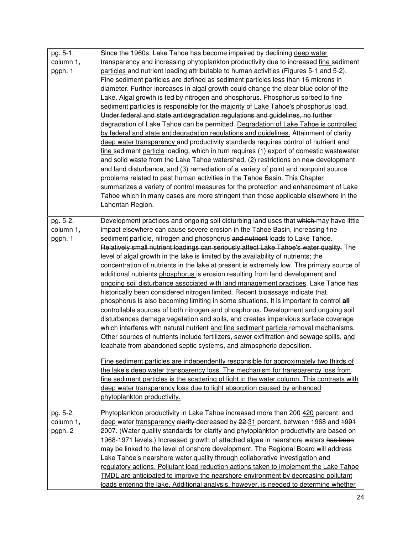| pg. 5-1,<br>column 1,<br>pgph. 1 | Since the 1960s, Lake Tahoe has become impaired by declining deep water<br>transparency and increasing phytoplankton productivity due to increased fine sediment<br>particles and nutrient loading attributable to human activities (Figures 5-1 and 5-2).<br>Fine sediment particles are defined as sediment particles less than 16 microns in<br>diameter. Further increases in algal growth could change the clear blue color of the<br>Lake. Algal growth is fed by nitrogen and phosphorus. Phosphorus sorbed to fine<br>sediment particles is responsible for the majority of Lake Tahoe's phosphorus load.<br>Under federal and state antidegradation regulations and guidelines, no further<br>degradation of Lake Tahoe can be permitted. Degradation of Lake Tahoe is controlled<br>by federal and state antidegradation regulations and guidelines. Attainment of elarity<br>deep water transparency and productivity standards requires control of nutrient and<br>fine sediment particle loading, which in turn requires (1) export of domestic wastewater<br>and solid waste from the Lake Tahoe watershed, (2) restrictions on new development<br>and land disturbance, and (3) remediation of a variety of point and nonpoint source<br>problems related to past human activities in the Tahoe Basin. This Chapter<br>summarizes a variety of control measures for the protection and enhancement of Lake<br>Tahoe which in many cases are more stringent than those applicable elsewhere in the<br>Lahontan Region.                                                                                                                                                                                     |
|----------------------------------|--------------------------------------------------------------------------------------------------------------------------------------------------------------------------------------------------------------------------------------------------------------------------------------------------------------------------------------------------------------------------------------------------------------------------------------------------------------------------------------------------------------------------------------------------------------------------------------------------------------------------------------------------------------------------------------------------------------------------------------------------------------------------------------------------------------------------------------------------------------------------------------------------------------------------------------------------------------------------------------------------------------------------------------------------------------------------------------------------------------------------------------------------------------------------------------------------------------------------------------------------------------------------------------------------------------------------------------------------------------------------------------------------------------------------------------------------------------------------------------------------------------------------------------------------------------------------------------------------------------------------------------------------------------------------------------------------------------------------|
| pg. 5-2,<br>column 1,<br>pgph. 1 | Development practices and ongoing soil disturbing land uses that which-may have little<br>impact elsewhere can cause severe erosion in the Tahoe Basin, increasing fine<br>sediment particle, nitrogen and phosphorus and nutrient loads to Lake Tahoe.<br>Relatively small nutrient loadings can seriously affect Lake Tahoe's water quality. The<br>level of algal growth in the lake is limited by the availability of nutrients; the<br>concentration of nutrients in the lake at present is extremely low. The primary source of<br>additional nutrients phosphorus is erosion resulting from land development and<br>ongoing soil disturbance associated with land management practices. Lake Tahoe has<br>historically been considered nitrogen limited. Recent bioassays indicate that<br>phosphorus is also becoming limiting in some situations. It is important to control all<br>controllable sources of both nitrogen and phosphorus. Development and ongoing soil<br>disturbances damage vegetation and soils, and creates impervious surface coverage<br>which interferes with natural nutrient and fine sediment particle removal mechanisms.<br>Other sources of nutrients include fertilizers, sewer exfiltration and sewage spills, and<br>leachate from abandoned septic systems, and atmospheric deposition.<br>Fine sediment particles are independently responsible for approximately two thirds of<br>the lake's deep water transparency loss. The mechanism for transparency loss from<br>fine sediment particles is the scattering of light in the water column. This contrasts with<br>deep water transparency loss due to light absorption caused by enhanced<br>phytoplankton productivity. |
| pg. 5-2,<br>column 1,<br>pgph. 2 | Phytoplankton productivity in Lake Tahoe increased more than 200-420 percent, and<br>deep water transparency elarity decreased by 22-31 percent, between 1968 and 1991<br>2007. (Water quality standards for clarity and phytoplankton productivity are based on<br>1968-1971 levels.) Increased growth of attached algae in nearshore waters has been<br>may be linked to the level of onshore development. The Regional Board will address<br>Lake Tahoe's nearshore water quality through collaborative investigation and<br>regulatory actions. Pollutant load reduction actions taken to implement the Lake Tahoe<br><b>TMDL</b> are anticipated to improve the nearshore environment by decreasing pollutant<br>loads entering the lake. Additional analysis, however, is needed to determine whether                                                                                                                                                                                                                                                                                                                                                                                                                                                                                                                                                                                                                                                                                                                                                                                                                                                                                                              |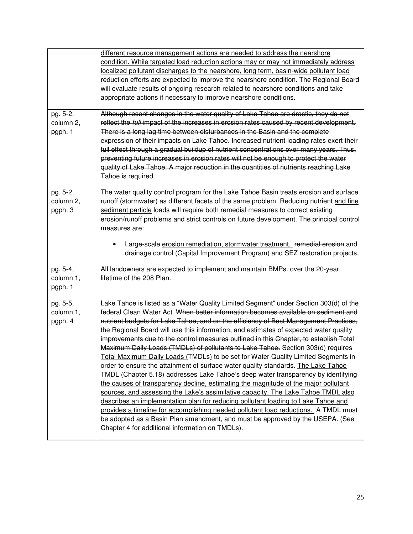|           | different resource management actions are needed to address the nearshore                                                                                                      |
|-----------|--------------------------------------------------------------------------------------------------------------------------------------------------------------------------------|
|           | condition. While targeted load reduction actions may or may not immediately address                                                                                            |
|           | localized pollutant discharges to the nearshore, long term, basin-wide pollutant load                                                                                          |
|           | reduction efforts are expected to improve the nearshore condition. The Regional Board                                                                                          |
|           | will evaluate results of ongoing research related to nearshore conditions and take                                                                                             |
|           | appropriate actions if necessary to improve nearshore conditions.                                                                                                              |
| pg. 5-2,  | Although recent changes in the water quality of Lake Tahoe are drastic, they do not                                                                                            |
| column 2, | reflect the full impact of the increases in erosion rates caused by recent development.                                                                                        |
| pgph. 1   | There is a long lag time between disturbances in the Basin and the complete                                                                                                    |
|           | expression of their impacts on Lake Tahoe. Increased nutrient loading rates exert their                                                                                        |
|           | full effect through a gradual buildup of nutrient concentrations over many years. Thus,                                                                                        |
|           | preventing future increases in crosion rates will not be enough to protect the water                                                                                           |
|           | quality of Lake Tahoe. A major reduction in the quantities of nutrients reaching Lake                                                                                          |
|           | Tahoe is required.                                                                                                                                                             |
|           |                                                                                                                                                                                |
| pg. 5-2,  | The water quality control program for the Lake Tahoe Basin treats erosion and surface                                                                                          |
| column 2, | runoff (stormwater) as different facets of the same problem. Reducing nutrient and fine                                                                                        |
| pgph. 3   | sediment particle loads will require both remedial measures to correct existing                                                                                                |
|           | erosion/runoff problems and strict controls on future development. The principal control                                                                                       |
|           | measures are:                                                                                                                                                                  |
|           | Large-scale erosion remediation, stormwater treatment, remedial erosion and                                                                                                    |
|           | drainage control (Capital Improvement Program) and SEZ restoration projects.                                                                                                   |
|           |                                                                                                                                                                                |
| pg. 5-4,  | All landowners are expected to implement and maintain BMPs. ever the 20-year                                                                                                   |
| column 1, | lifetime of the 208 Plan.                                                                                                                                                      |
| pgph. 1   |                                                                                                                                                                                |
|           |                                                                                                                                                                                |
| pg. 5-5,  | Lake Tahoe is listed as a "Water Quality Limited Segment" under Section 303(d) of the<br>federal Clean Water Act. When better information becomes available on sediment and    |
| column 1, |                                                                                                                                                                                |
| pgph. 4   | nutrient budgets for Lake Tahoe, and on the efficiency of Best Management Practices,                                                                                           |
|           | the Regional Board will use this information, and estimates of expected water quality<br>improvements due to the control measures outlined in this Chapter, to establish Total |
|           | Maximum Daily Loads (TMDLs) of pollutants to Lake Tahoe. Section 303(d) requires                                                                                               |
|           | Total Maximum Daily Loads (TMDLs) to be set for Water Quality Limited Segments in                                                                                              |
|           |                                                                                                                                                                                |
|           | order to ensure the attainment of surface water quality standards. The Lake Tahoe<br><b>TMDL (Chapter 5.18) addresses Lake Tahoe's deep water transparency by identifying</b>  |
|           | the causes of transparency decline, estimating the magnitude of the major pollutant                                                                                            |
|           | sources, and assessing the Lake's assimilative capacity. The Lake Tahoe TMDL also                                                                                              |
|           | describes an implementation plan for reducing pollutant loading to Lake Tahoe and                                                                                              |
|           | provides a timeline for accomplishing needed pollutant load reductions. A TMDL must                                                                                            |
|           | be adopted as a Basin Plan amendment, and must be approved by the USEPA. (See                                                                                                  |
|           | Chapter 4 for additional information on TMDLs).                                                                                                                                |
|           |                                                                                                                                                                                |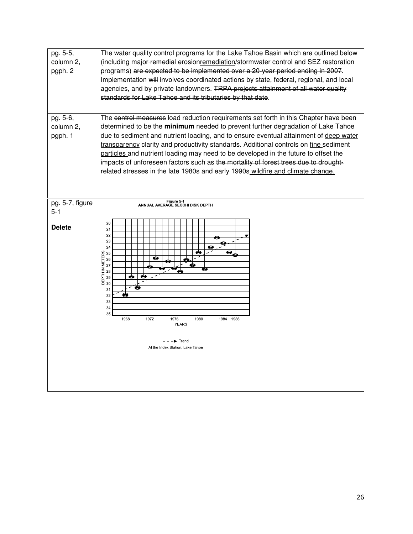| pg. 5-5,<br>column 2,<br>pgph. 2 | The water quality control programs for the Lake Tahoe Basin which are outlined below<br>(including major-remedial erosionremediation/stormwater control and SEZ restoration<br>programs) are expected to be implemented over a 20-year period ending in 2007.<br>Implementation will involves coordinated actions by state, federal, regional, and local<br>agencies, and by private landowners. TRPA projects attainment of all water quality<br>standards for Lake Tahoe and its tributaries by that date.                                                                                                                |
|----------------------------------|-----------------------------------------------------------------------------------------------------------------------------------------------------------------------------------------------------------------------------------------------------------------------------------------------------------------------------------------------------------------------------------------------------------------------------------------------------------------------------------------------------------------------------------------------------------------------------------------------------------------------------|
| pg. 5-6,<br>column 2,<br>pgph. 1 | The control measures load reduction requirements set forth in this Chapter have been<br>determined to be the minimum needed to prevent further degradation of Lake Tahoe<br>due to sediment and nutrient loading, and to ensure eventual attainment of deep water<br>transparency elarity and productivity standards. Additional controls on fine sediment<br>particles and nutrient loading may need to be developed in the future to offset the<br>impacts of unforeseen factors such as the mortality of forest trees due to drought-<br>related stresses in the late 1980s and early 1990s wildfire and climate change. |
| pg. 5-7, figure                  | Figure 5-1<br>ANNUAL AVERAGE SECCHI DISK DEPTH                                                                                                                                                                                                                                                                                                                                                                                                                                                                                                                                                                              |
| $5 - 1$<br><b>Delete</b>         | 20<br>21<br>22<br>23<br>24<br>♠<br>SERENETERS<br>DEPTH METERS<br>2 2 2 3 30<br>❸<br>◉<br><br>€<br>′ ख<br>31<br>♦<br>32<br>33<br>34<br>35<br>1968<br>1972<br>1980<br>1984 1986<br>1976<br><b>YEARS</b><br>- - → Trend<br>At the Index Station, Lake Tahoe                                                                                                                                                                                                                                                                                                                                                                    |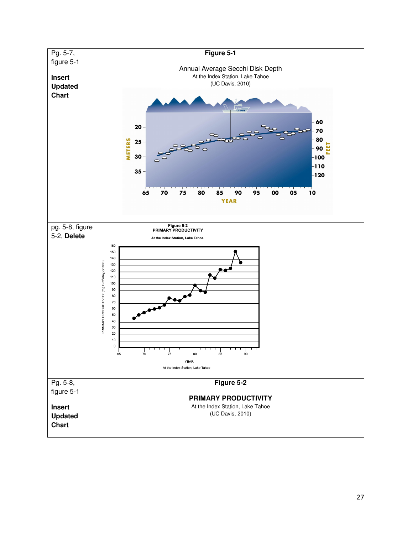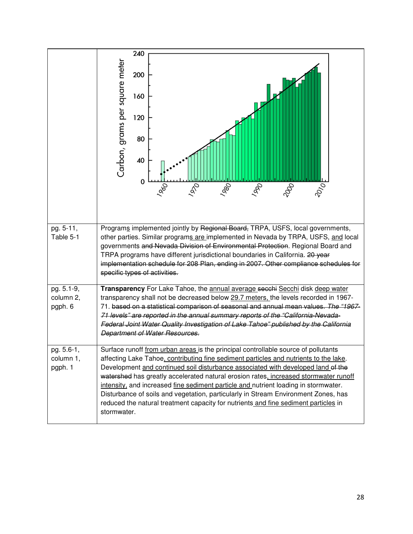|                                    | 240<br>Carbon, grams per square meter<br>200<br>160<br>120<br>80<br>40<br>0<br><b>PRO</b><br>2010<br>1970<br><b>I</b> del<br>1000<br>1960                                                                                                                                                                                                                                                                                                                                                                                                                                                                                                  |
|------------------------------------|--------------------------------------------------------------------------------------------------------------------------------------------------------------------------------------------------------------------------------------------------------------------------------------------------------------------------------------------------------------------------------------------------------------------------------------------------------------------------------------------------------------------------------------------------------------------------------------------------------------------------------------------|
| pg. 5-11,<br>Table 5-1             | Programs implemented jointly by Regional Board, TRPA, USFS, local governments,<br>other parties. Similar programs are implemented in Nevada by TRPA, USFS, and local<br>governments and Nevada Division of Environmental Protection. Regional Board and<br>TRPA programs have different jurisdictional boundaries in California. 20 year<br>implementation schedule for 208 Plan, ending in 2007. Other compliance schedules for<br>specific types of activities.                                                                                                                                                                          |
| pg. 5.1-9,<br>column 2,<br>pgph. 6 | Transparency For Lake Tahoe, the annual average secchi Secchi disk deep water<br>transparency shall not be decreased below 29.7 meters, the levels recorded in 1967-<br>71. based on a statistical comparison of seasonal and annual mean values. The "1967-<br>71 levels" are reported in the annual summary reports of the "California-Nevada-<br>Federal Joint Water Quality Investigation of Lake Tahoe" published by the California<br><b>Department of Water Resources.</b>                                                                                                                                                          |
| pg. 5.6-1,<br>column 1,<br>pgph. 1 | Surface runoff from urban areas is the principal controllable source of pollutants<br>affecting Lake Tahoe, contributing fine sediment particles and nutrients to the lake.<br>Development and continued soil disturbance associated with developed land of the<br>watershed has greatly accelerated natural erosion rates, increased stormwater runoff<br>intensity, and increased fine sediment particle and nutrient loading in stormwater.<br>Disturbance of soils and vegetation, particularly in Stream Environment Zones, has<br>reduced the natural treatment capacity for nutrients and fine sediment particles in<br>stormwater. |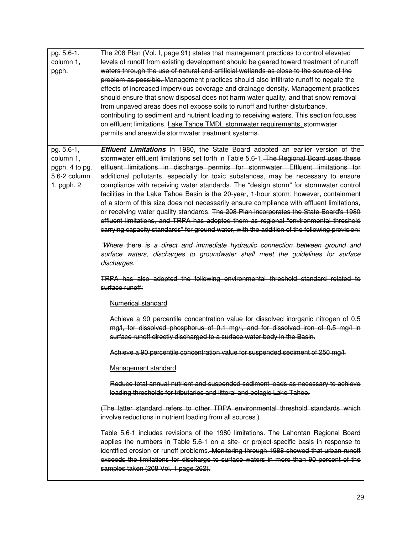| pg. 5.6-1,<br>column 1,<br>pgph.                                        | The 208 Plan (Vol. I, page 91) states that management practices to control elevated<br>levels of runoff from existing development should be geared toward treatment of runoff<br>waters through the use of natural and artificial wetlands as close to the source of the<br>problem as possible. Management practices should also infiltrate runoff to negate the<br>effects of increased impervious coverage and drainage density. Management practices<br>should ensure that snow disposal does not harm water quality, and that snow removal<br>from unpaved areas does not expose soils to runoff and further disturbance,<br>contributing to sediment and nutrient loading to receiving waters. This section focuses<br>on effluent limitations, Lake Tahoe TMDL stormwater requirements, stormwater<br>permits and areawide stormwater treatment systems.                                                                                                                                                                                                                                                    |
|-------------------------------------------------------------------------|--------------------------------------------------------------------------------------------------------------------------------------------------------------------------------------------------------------------------------------------------------------------------------------------------------------------------------------------------------------------------------------------------------------------------------------------------------------------------------------------------------------------------------------------------------------------------------------------------------------------------------------------------------------------------------------------------------------------------------------------------------------------------------------------------------------------------------------------------------------------------------------------------------------------------------------------------------------------------------------------------------------------------------------------------------------------------------------------------------------------|
| pg. 5.6-1,<br>column 1,<br>pgph. 4 to pg.<br>5.6-2 column<br>1, pgph. 2 | <b>Effluent Limitations</b> In 1980, the State Board adopted an earlier version of the<br>stormwater effluent limitations set forth in Table 5.6-1. The Regional Board uses these<br>effluent limitations in discharge permits for stormwater. Effluent limitations for<br>additional pollutants, especially for toxic substances, may be necessary to ensure<br>compliance with receiving water standards. The "design storm" for stormwater control<br>facilities in the Lake Tahoe Basin is the 20-year, 1-hour storm; however, containment<br>of a storm of this size does not necessarily ensure compliance with effluent limitations,<br>or receiving water quality standards. The 208 Plan incorporates the State Board's 1980<br>effluent limitations, and TRPA has adopted them as regional "environmental threshold<br>carrying capacity standards" for ground water, with the addition of the following provision:<br>"Where there is a direct and immediate hydraulic connection between ground and<br>surface waters, discharges to groundwater shall meet the guidelines for surface<br>discharges." |
|                                                                         | TRPA has also adopted the following environmental threshold standard related to<br>surface runoff:                                                                                                                                                                                                                                                                                                                                                                                                                                                                                                                                                                                                                                                                                                                                                                                                                                                                                                                                                                                                                 |
|                                                                         | Numerical standard                                                                                                                                                                                                                                                                                                                                                                                                                                                                                                                                                                                                                                                                                                                                                                                                                                                                                                                                                                                                                                                                                                 |
|                                                                         | Achieve a 90 percentile concentration value for dissolved inorganic nitrogen of 0.5<br>mg/l, for dissolved phosphorus of 0.1 mg/l, and for dissolved iron of 0.5 mg/l in<br>surface runoff directly discharged to a surface water body in the Basin.                                                                                                                                                                                                                                                                                                                                                                                                                                                                                                                                                                                                                                                                                                                                                                                                                                                               |
|                                                                         | Achieve a 90 percentile concentration value for suspended sediment of 250 mg/l.                                                                                                                                                                                                                                                                                                                                                                                                                                                                                                                                                                                                                                                                                                                                                                                                                                                                                                                                                                                                                                    |
|                                                                         | Management standard                                                                                                                                                                                                                                                                                                                                                                                                                                                                                                                                                                                                                                                                                                                                                                                                                                                                                                                                                                                                                                                                                                |
|                                                                         | Reduce total annual nutrient and suspended sediment loads as necessary to achieve<br>loading thresholds for tributaries and littoral and pelagic Lake Tahoe.                                                                                                                                                                                                                                                                                                                                                                                                                                                                                                                                                                                                                                                                                                                                                                                                                                                                                                                                                       |
|                                                                         | (The latter standard refers to other TRPA environmental threshold standards which<br>involve reductions in nutrient loading from all sources.)                                                                                                                                                                                                                                                                                                                                                                                                                                                                                                                                                                                                                                                                                                                                                                                                                                                                                                                                                                     |
|                                                                         | Table 5.6-1 includes revisions of the 1980 limitations. The Lahontan Regional Board<br>applies the numbers in Table 5.6-1 on a site- or project-specific basis in response to<br>identified erosion or runoff problems. Monitoring through 1988 showed that urban runoff<br>exceeds the limitations for discharge to surface waters in more than 90 percent of the<br>samples taken (208 Vol. 1 page 262).                                                                                                                                                                                                                                                                                                                                                                                                                                                                                                                                                                                                                                                                                                         |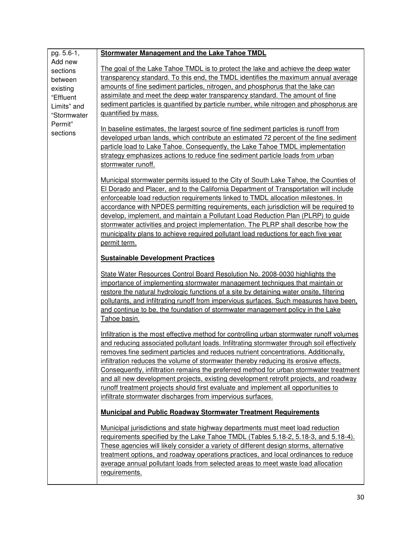| pg. 5.6-1,                                                                                                   | <b>Stormwater Management and the Lake Tahoe TMDL</b>                                                                                                                                                                                                                                                                                                                                                                                                                                                                                                                                                                                                                                                       |
|--------------------------------------------------------------------------------------------------------------|------------------------------------------------------------------------------------------------------------------------------------------------------------------------------------------------------------------------------------------------------------------------------------------------------------------------------------------------------------------------------------------------------------------------------------------------------------------------------------------------------------------------------------------------------------------------------------------------------------------------------------------------------------------------------------------------------------|
| Add new<br>sections<br>between<br>existing<br>"Effluent<br>Limits" and<br>"Stormwater<br>Permit"<br>sections | The goal of the Lake Tahoe TMDL is to protect the lake and achieve the deep water<br>transparency standard. To this end, the TMDL identifies the maximum annual average<br>amounts of fine sediment particles, nitrogen, and phosphorus that the lake can<br>assimilate and meet the deep water transparency standard. The amount of fine<br>sediment particles is quantified by particle number, while nitrogen and phosphorus are<br>quantified by mass.<br>In baseline estimates, the largest source of fine sediment particles is runoff from                                                                                                                                                          |
|                                                                                                              | developed urban lands, which contribute an estimated 72 percent of the fine sediment<br>particle load to Lake Tahoe. Consequently, the Lake Tahoe TMDL implementation<br>strategy emphasizes actions to reduce fine sediment particle loads from urban<br>stormwater runoff.                                                                                                                                                                                                                                                                                                                                                                                                                               |
|                                                                                                              | Municipal stormwater permits issued to the City of South Lake Tahoe, the Counties of<br>El Dorado and Placer, and to the California Department of Transportation will include<br>enforceable load reduction requirements linked to TMDL allocation milestones. In<br>accordance with NPDES permitting requirements, each jurisdiction will be required to<br>develop, implement, and maintain a Pollutant Load Reduction Plan (PLRP) to guide<br>stormwater activities and project implementation. The PLRP shall describe how the<br>municipality plans to achieve required pollutant load reductions for each five year<br>permit term.                                                                  |
|                                                                                                              | <b>Sustainable Development Practices</b>                                                                                                                                                                                                                                                                                                                                                                                                                                                                                                                                                                                                                                                                   |
|                                                                                                              | State Water Resources Control Board Resolution No. 2008-0030 highlights the<br>importance of implementing stormwater management techniques that maintain or<br>restore the natural hydrologic functions of a site by detaining water onsite, filtering<br>pollutants, and infiltrating runoff from impervious surfaces. Such measures have been,<br>and continue to be, the foundation of stormwater management policy in the Lake<br>Tahoe basin.                                                                                                                                                                                                                                                         |
|                                                                                                              | Infiltration is the most effective method for controlling urban stormwater runoff volumes<br>and reducing associated pollutant loads. Infiltrating stormwater through soil effectively<br>removes fine sediment particles and reduces nutrient concentrations. Additionally,<br>infiltration reduces the volume of stormwater thereby reducing its erosive effects.<br>Consequently, infiltration remains the preferred method for urban stormwater treatment<br>and all new development projects, existing development retrofit projects, and roadway<br>runoff treatment projects should first evaluate and implement all opportunities to<br>infiltrate stormwater discharges from impervious surfaces. |
|                                                                                                              | <b>Municipal and Public Roadway Stormwater Treatment Requirements</b>                                                                                                                                                                                                                                                                                                                                                                                                                                                                                                                                                                                                                                      |
|                                                                                                              | Municipal jurisdictions and state highway departments must meet load reduction<br>requirements specified by the Lake Tahoe TMDL (Tables 5.18-2, 5.18-3, and 5.18-4).<br>These agencies will likely consider a variety of different design storms, alternative<br>treatment options, and roadway operations practices, and local ordinances to reduce<br>average annual pollutant loads from selected areas to meet waste load allocation<br>requirements.                                                                                                                                                                                                                                                  |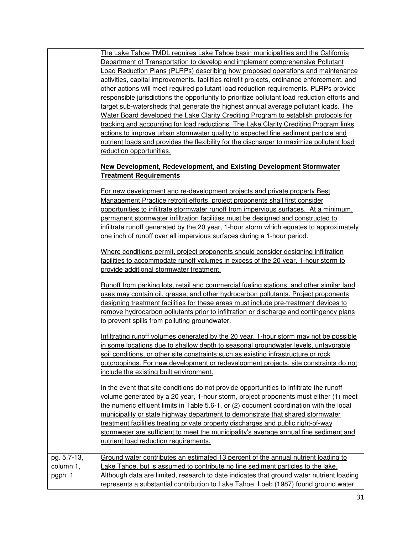|                                     | The Lake Tahoe TMDL requires Lake Tahoe basin municipalities and the California<br>Department of Transportation to develop and implement comprehensive Pollutant                                                                                                                                                                                                                                                                                                                                                                                                                                                                                                                                                                                                                                                                                                                         |
|-------------------------------------|------------------------------------------------------------------------------------------------------------------------------------------------------------------------------------------------------------------------------------------------------------------------------------------------------------------------------------------------------------------------------------------------------------------------------------------------------------------------------------------------------------------------------------------------------------------------------------------------------------------------------------------------------------------------------------------------------------------------------------------------------------------------------------------------------------------------------------------------------------------------------------------|
|                                     | Load Reduction Plans (PLRPs) describing how proposed operations and maintenance                                                                                                                                                                                                                                                                                                                                                                                                                                                                                                                                                                                                                                                                                                                                                                                                          |
|                                     | activities, capital improvements, facilities retrofit projects, ordinance enforcement, and<br>other actions will meet required pollutant load reduction requirements. PLRPs provide<br>responsible jurisdictions the opportunity to prioritize pollutant load reduction efforts and<br>target sub-watersheds that generate the highest annual average pollutant loads. The<br>Water Board developed the Lake Clarity Crediting Program to establish protocols for<br>tracking and accounting for load reductions. The Lake Clarity Crediting Program links<br>actions to improve urban stormwater quality to expected fine sediment particle and<br>nutrient loads and provides the flexibility for the discharger to maximize pollutant load<br>reduction opportunities.<br><b>New Development, Redevelopment, and Existing Development Stormwater</b><br><b>Treatment Requirements</b> |
|                                     | For new development and re-development projects and private property Best<br>Management Practice retrofit efforts, project proponents shall first consider<br>opportunities to infiltrate stormwater runoff from impervious surfaces. At a minimum,<br>permanent stormwater infiltration facilities must be designed and constructed to<br>infiltrate runoff generated by the 20 year, 1-hour storm which equates to approximately<br>one inch of runoff over all impervious surfaces during a 1-hour period.                                                                                                                                                                                                                                                                                                                                                                            |
|                                     | Where conditions permit, project proponents should consider designing infiltration<br>facilities to accommodate runoff volumes in excess of the 20 year, 1-hour storm to<br>provide additional stormwater treatment.                                                                                                                                                                                                                                                                                                                                                                                                                                                                                                                                                                                                                                                                     |
|                                     | <u>Runoff from parking lots, retail and commercial fueling stations, and other similar land</u><br>uses may contain oil, grease, and other hydrocarbon pollutants. Project proponents<br>designing treatment facilities for these areas must include pre-treatment devices to<br>remove hydrocarbon pollutants prior to infiltration or discharge and contingency plans<br>to prevent spills from polluting groundwater.                                                                                                                                                                                                                                                                                                                                                                                                                                                                 |
|                                     | Infiltrating runoff volumes generated by the 20 year, 1-hour storm may not be possible<br>in some locations due to shallow depth to seasonal groundwater levels, unfavorable<br>soil conditions, or other site constraints such as existing infrastructure or rock<br>outcroppings. For new development or redevelopment projects, site constraints do not<br>include the existing built environment.                                                                                                                                                                                                                                                                                                                                                                                                                                                                                    |
|                                     | In the event that site conditions do not provide opportunities to infiltrate the runoff<br>volume generated by a 20 year, 1-hour storm, project proponents must either (1) meet<br>the numeric effluent limits in Table 5.6-1, or (2) document coordination with the local<br>municipality or state highway department to demonstrate that shared stormwater<br>treatment facilities treating private property discharges and public right-of-way<br>stormwater are sufficient to meet the municipality's average annual fine sediment and<br>nutrient load reduction requirements.                                                                                                                                                                                                                                                                                                      |
| pg. 5.7-13,<br>column 1,<br>pgph. 1 | Ground water contributes an estimated 13 percent of the annual nutrient loading to<br>Lake Tahoe, but is assumed to contribute no fine sediment particles to the lake.<br>Although data are limited, research to date indicates that ground water nutrient loading<br>represents a substantial contribution to Lake Tahoe. Loeb (1987) found ground water                                                                                                                                                                                                                                                                                                                                                                                                                                                                                                                                |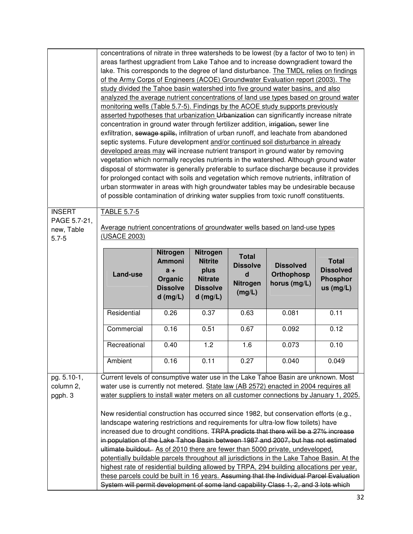|                                                          | concentrations of nitrate in three watersheds to be lowest (by a factor of two to ten) in<br>areas farthest upgradient from Lake Tahoe and to increase downgradient toward the<br>lake. This corresponds to the degree of land disturbance. The TMDL relies on findings<br>of the Army Corps of Engineers (ACOE) Groundwater Evaluation report (2003). The<br>study divided the Tahoe basin watershed into five ground water basins, and also<br>analyzed the average nutrient concentrations of land use types based on ground water<br>monitoring wells (Table 5.7-5). Findings by the ACOE study supports previously<br>asserted hypotheses that urbanization Urbanization can significantly increase nitrate<br>concentration in ground water through fertilizer addition, irrigation, sewer line<br>exfiltration, sewage spills, infiltration of urban runoff, and leachate from abandoned<br>septic systems. Future development and/or continued soil disturbance in already<br>developed areas may will increase nutrient transport in ground water by removing<br>vegetation which normally recycles nutrients in the watershed. Although ground water<br>disposal of stormwater is generally preferable to surface discharge because it provides<br>for prolonged contact with soils and vegetation which remove nutrients, infiltration of<br>urban stormwater in areas with high groundwater tables may be undesirable because<br>of possible contamination of drinking water supplies from toxic runoff constituents. |                                                                                |                                                                                              |                                                                      |                                                |                                                                  |
|----------------------------------------------------------|-----------------------------------------------------------------------------------------------------------------------------------------------------------------------------------------------------------------------------------------------------------------------------------------------------------------------------------------------------------------------------------------------------------------------------------------------------------------------------------------------------------------------------------------------------------------------------------------------------------------------------------------------------------------------------------------------------------------------------------------------------------------------------------------------------------------------------------------------------------------------------------------------------------------------------------------------------------------------------------------------------------------------------------------------------------------------------------------------------------------------------------------------------------------------------------------------------------------------------------------------------------------------------------------------------------------------------------------------------------------------------------------------------------------------------------------------------------------------------------------------------------------------------------|--------------------------------------------------------------------------------|----------------------------------------------------------------------------------------------|----------------------------------------------------------------------|------------------------------------------------|------------------------------------------------------------------|
| <b>INSERT</b><br>PAGE 5.7-21,<br>new, Table<br>$5.7 - 5$ | <b>TABLE 5.7-5</b><br>Average nutrient concentrations of groundwater wells based on land-use types<br>(USACE 2003)                                                                                                                                                                                                                                                                                                                                                                                                                                                                                                                                                                                                                                                                                                                                                                                                                                                                                                                                                                                                                                                                                                                                                                                                                                                                                                                                                                                                                |                                                                                |                                                                                              |                                                                      |                                                |                                                                  |
|                                                          | Land-use                                                                                                                                                                                                                                                                                                                                                                                                                                                                                                                                                                                                                                                                                                                                                                                                                                                                                                                                                                                                                                                                                                                                                                                                                                                                                                                                                                                                                                                                                                                          | Nitrogen<br><b>Ammoni</b><br>$a +$<br>Organic<br><b>Dissolve</b><br>$d$ (mg/L) | <b>Nitrogen</b><br><b>Nitrite</b><br>plus<br><b>Nitrate</b><br><b>Dissolve</b><br>$d$ (mg/L) | <b>Total</b><br><b>Dissolve</b><br>$\mathbf d$<br>Nitrogen<br>(mg/L) | <b>Dissolved</b><br>Orthophosp<br>horus (mg/L) | <b>Total</b><br><b>Dissolved</b><br><b>Phosphor</b><br>us (mg/L) |
|                                                          | Residential                                                                                                                                                                                                                                                                                                                                                                                                                                                                                                                                                                                                                                                                                                                                                                                                                                                                                                                                                                                                                                                                                                                                                                                                                                                                                                                                                                                                                                                                                                                       | 0.26                                                                           | 0.37                                                                                         | 0.63                                                                 | 0.081                                          | 0.11                                                             |
|                                                          | Commercial                                                                                                                                                                                                                                                                                                                                                                                                                                                                                                                                                                                                                                                                                                                                                                                                                                                                                                                                                                                                                                                                                                                                                                                                                                                                                                                                                                                                                                                                                                                        | 0.16                                                                           | 0.51                                                                                         | 0.67                                                                 | 0.092                                          | 0.12                                                             |
|                                                          | Recreational                                                                                                                                                                                                                                                                                                                                                                                                                                                                                                                                                                                                                                                                                                                                                                                                                                                                                                                                                                                                                                                                                                                                                                                                                                                                                                                                                                                                                                                                                                                      | 0.40                                                                           | 1.2                                                                                          | 1.6                                                                  | 0.073                                          | 0.10                                                             |
|                                                          | Ambient                                                                                                                                                                                                                                                                                                                                                                                                                                                                                                                                                                                                                                                                                                                                                                                                                                                                                                                                                                                                                                                                                                                                                                                                                                                                                                                                                                                                                                                                                                                           | 0.16                                                                           | 0.11                                                                                         | 0.27                                                                 | 0.040                                          | 0.049                                                            |
| pg. 5.10-1,<br>column 2,<br>pgph. 3                      | Current levels of consumptive water use in the Lake Tahoe Basin are unknown. Most<br>water use is currently not metered. State law (AB 2572) enacted in 2004 requires all<br>water suppliers to install water meters on all customer connections by January 1, 2025.<br>New residential construction has occurred since 1982, but conservation efforts (e.g.,<br>landscape watering restrictions and requirements for ultra-low flow toilets) have<br>increased due to drought conditions. TRPA predicts that there will be a 27% increase<br>in population of the Lake Tahoe Basin between 1987 and 2007, but has not estimated<br>ultimate buildout. As of 2010 there are fewer than 5000 private, undeveloped,<br>potentially buildable parcels throughout all jurisdictions in the Lake Tahoe Basin. At the<br>highest rate of residential building allowed by TRPA, 294 building allocations per year,<br>these parcels could be built in 16 years. Assuming that the Individual Parcel Evaluation<br>System will permit development of some land capability Class 1, 2, and 3 lots which                                                                                                                                                                                                                                                                                                                                                                                                                                    |                                                                                |                                                                                              |                                                                      |                                                |                                                                  |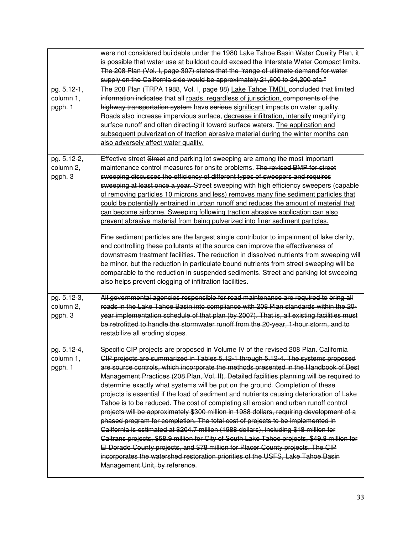| pg. 5.12-1,<br>column 1,<br>pgph. 1 | were not considered buildable under the 1980 Lake Tahoe Basin Water Quality Plan, it<br>is possible that water use at buildout could exceed the Interstate Water Compact limits.<br>The 208 Plan (Vol. I, page 307) states that the "range of ultimate demand for water<br>supply on the California side would be approximately 21,600 to 24,200 afa."<br>The 208 Plan (TRPA 1988, Vol. I, page 88) Lake Tahoe TMDL concluded that limited<br>information indicates that all roads, regardless of jurisdiction, components of the<br>highway transportation system have serious significant impacts on water quality.<br>Roads also increase impervious surface, decrease infiltration, intensify magnifying<br>surface runoff and often directing it toward surface waters. The application and<br>subsequent pulverization of traction abrasive material during the winter months can<br>also adversely affect water quality.                                                                                                                                                                                                                                                                                               |
|-------------------------------------|-------------------------------------------------------------------------------------------------------------------------------------------------------------------------------------------------------------------------------------------------------------------------------------------------------------------------------------------------------------------------------------------------------------------------------------------------------------------------------------------------------------------------------------------------------------------------------------------------------------------------------------------------------------------------------------------------------------------------------------------------------------------------------------------------------------------------------------------------------------------------------------------------------------------------------------------------------------------------------------------------------------------------------------------------------------------------------------------------------------------------------------------------------------------------------------------------------------------------------|
| pg. 5.12-2,<br>column 2,<br>pgph. 3 | <b>Effective street Street and parking lot sweeping are among the most important</b><br>maintenance control measures for onsite problems. The revised BMP for street<br>sweeping discusses the efficiency of different types of sweepers and requires<br>sweeping at least once a year. Street sweeping with high efficiency sweepers (capable<br>of removing particles 10 microns and less) removes many fine sediment particles that<br>could be potentially entrained in urban runoff and reduces the amount of material that<br>can become airborne. Sweeping following traction abrasive application can also<br>prevent abrasive material from being pulverized into finer sediment particles.<br>Fine sediment particles are the largest single contributor to impairment of lake clarity,<br>and controlling these pollutants at the source can improve the effectiveness of<br>downstream treatment facilities. The reduction in dissolved nutrients from sweeping will<br>be minor, but the reduction in particulate bound nutrients from street sweeping will be<br>comparable to the reduction in suspended sediments. Street and parking lot sweeping<br>also helps prevent clogging of infiltration facilities. |
| pg. 5.12-3,<br>column 2,<br>pgph. 3 | All governmental agencies responsible for road maintenance are required to bring all<br>roads in the Lake Tahoe Basin into compliance with 208 Plan standards within the 20-<br>year implementation schedule of that plan (by 2007). That is, all existing facilities must<br>be retrofitted to handle the stormwater runoff from the 20-year, 1-hour storm, and to<br>restabilize all eroding slopes.                                                                                                                                                                                                                                                                                                                                                                                                                                                                                                                                                                                                                                                                                                                                                                                                                        |
| pg. 5.12-4.<br>column 1,<br>pgph. 1 | Specific CIP projects are proposed in Volume IV of the revised 208 Plan. California<br>CIP projects are summarized in Tables 5.12-1 through 5.12-4. The systems proposed<br>are source controls, which incorporate the methods presented in the Handbook of Best<br>Management Practices (208 Plan, Vol. II). Detailed facilities planning will be required to<br>determine exactly what systems will be put on the ground. Completion of these<br>projects is essential if the load of sediment and nutrients causing deterioration of Lake<br>Tahoe is to be reduced. The cost of completing all erosion and urban runoff control<br>projects will be approximately \$300 million in 1988 dollars, requiring development of a<br>phased program for completion. The total cost of projects to be implemented in<br>California is estimated at \$204.7 million (1988 dollars), including \$18 million for<br>Caltrans projects, \$58.9 million for City of South Lake Tahoe projects, \$49.8 million for<br>El Dorado County projects, and \$78 million for Placer County projects. The CIP<br>incorporates the watershed restoration priorities of the USFS, Lake Tahoe Basin<br>Management Unit, by reference.             |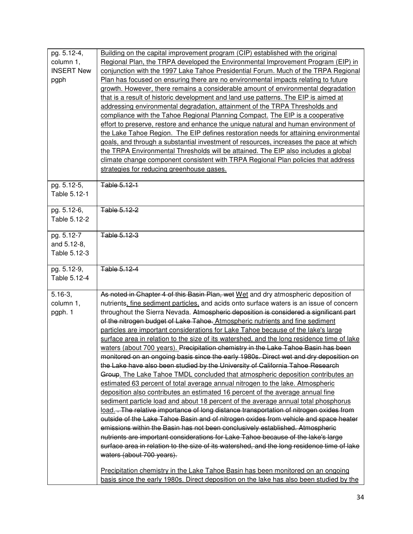| pg. 5.12-4,       | Building on the capital improvement program (CIP) established with the original                                                                                    |
|-------------------|--------------------------------------------------------------------------------------------------------------------------------------------------------------------|
| column 1,         | Regional Plan, the TRPA developed the Environmental Improvement Program (EIP) in                                                                                   |
| <b>INSERT New</b> | conjunction with the 1997 Lake Tahoe Presidential Forum. Much of the TRPA Regional                                                                                 |
| pgph              | Plan has focused on ensuring there are no environmental impacts relating to future                                                                                 |
|                   | growth. However, there remains a considerable amount of environmental degradation                                                                                  |
|                   | that is a result of historic development and land use patterns. The EIP is aimed at                                                                                |
|                   | addressing environmental degradation, attainment of the TRPA Thresholds and                                                                                        |
|                   | compliance with the Tahoe Regional Planning Compact. The EIP is a cooperative                                                                                      |
|                   | effort to preserve, restore and enhance the unique natural and human environment of                                                                                |
|                   | the Lake Tahoe Region. The EIP defines restoration needs for attaining environmental                                                                               |
|                   | goals, and through a substantial investment of resources, increases the pace at which                                                                              |
|                   | the TRPA Environmental Thresholds will be attained. The EIP also includes a global                                                                                 |
|                   | climate change component consistent with TRPA Regional Plan policies that address                                                                                  |
|                   | strategies for reducing greenhouse gases.                                                                                                                          |
| pg. 5.12-5,       | Table 5.12-1                                                                                                                                                       |
| Table 5.12-1      |                                                                                                                                                                    |
|                   |                                                                                                                                                                    |
| pg. 5.12-6,       | Table 5.12-2                                                                                                                                                       |
| Table 5.12-2      |                                                                                                                                                                    |
| pg. 5.12-7        | Table 5.12-3                                                                                                                                                       |
| and 5.12-8,       |                                                                                                                                                                    |
| Table 5.12-3      |                                                                                                                                                                    |
|                   |                                                                                                                                                                    |
|                   |                                                                                                                                                                    |
| pg. 5.12-9,       | Table 5.12-4                                                                                                                                                       |
| Table 5.12-4      |                                                                                                                                                                    |
|                   |                                                                                                                                                                    |
| $5.16-3,$         | As noted in Chapter 4 of this Basin Plan, wet Wet and dry atmospheric deposition of                                                                                |
| column 1,         | nutrients, fine sediment particles, and acids onto surface waters is an issue of concern                                                                           |
| pgph. 1           | throughout the Sierra Nevada. Atmospheric deposition is considered a significant part                                                                              |
|                   | of the nitrogen budget of Lake Tahoe. Atmospheric nutrients and fine sediment                                                                                      |
|                   | particles are important considerations for Lake Tahoe because of the lake's large                                                                                  |
|                   | surface area in relation to the size of its watershed, and the long residence time of lake                                                                         |
|                   | waters (about 700 years). Precipitation chemistry in the Lake Tahoe Basin has been                                                                                 |
|                   | monitored on an ongoing basis since the early 1980s. Direct wet and dry deposition on                                                                              |
|                   | the Lake have also been studied by the University of California Tahoe Research                                                                                     |
|                   | Group. The Lake Tahoe TMDL concluded that atmospheric deposition contributes an                                                                                    |
|                   | estimated 63 percent of total average annual nitrogen to the lake. Atmospheric                                                                                     |
|                   | deposition also contributes an estimated 16 percent of the average annual fine                                                                                     |
|                   | sediment particle load and about 18 percent of the average annual total phosphorus                                                                                 |
|                   | load. The relative importance of long distance transportation of nitrogen oxides from                                                                              |
|                   | outside of the Lake Tahoe Basin and of nitrogen oxides from vehicle and space heater                                                                               |
|                   | emissions within the Basin has not been conclusively established. Atmospheric<br>nutrients are important considerations for Lake Tahoe because of the lake's large |
|                   | surface area in relation to the size of its watershed, and the long residence time of lake                                                                         |
|                   | waters (about 700 years).                                                                                                                                          |
|                   | Precipitation chemistry in the Lake Tahoe Basin has been monitored on an ongoing                                                                                   |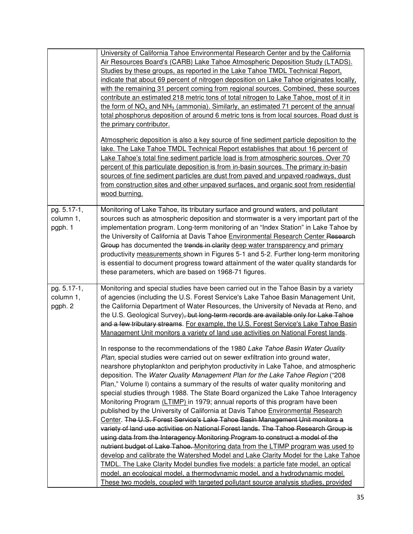|                                     | University of California Tahoe Environmental Research Center and by the California<br>Air Resources Board's (CARB) Lake Tahoe Atmospheric Deposition Study (LTADS).<br>Studies by these groups, as reported in the Lake Tahoe TMDL Technical Report,<br>indicate that about 69 percent of nitrogen deposition on Lake Tahoe originates locally,<br>with the remaining 31 percent coming from regional sources. Combined, these sources<br>contribute an estimated 218 metric tons of total nitrogen to Lake Tahoe, most of it in<br>the form of $NO_x$ and $NH_3$ (ammonia). Similarly, an estimated 71 percent of the annual<br>total phosphorus deposition of around 6 metric tons is from local sources. Road dust is<br>the primary contributor.<br>Atmospheric deposition is also a key source of fine sediment particle deposition to the<br>lake. The Lake Tahoe TMDL Technical Report establishes that about 16 percent of<br>Lake Tahoe's total fine sediment particle load is from atmospheric sources. Over 70<br>percent of this particulate deposition is from in-basin sources. The primary in-basin<br>sources of fine sediment particles are dust from paved and unpaved roadways, dust<br>from construction sites and other unpaved surfaces, and organic soot from residential<br>wood burning.                                                                                                                                                                                                                                                                                                                                                                                                                                                                                                                                                                                                                              |
|-------------------------------------|------------------------------------------------------------------------------------------------------------------------------------------------------------------------------------------------------------------------------------------------------------------------------------------------------------------------------------------------------------------------------------------------------------------------------------------------------------------------------------------------------------------------------------------------------------------------------------------------------------------------------------------------------------------------------------------------------------------------------------------------------------------------------------------------------------------------------------------------------------------------------------------------------------------------------------------------------------------------------------------------------------------------------------------------------------------------------------------------------------------------------------------------------------------------------------------------------------------------------------------------------------------------------------------------------------------------------------------------------------------------------------------------------------------------------------------------------------------------------------------------------------------------------------------------------------------------------------------------------------------------------------------------------------------------------------------------------------------------------------------------------------------------------------------------------------------------------------------------------------------------------------------------------------------------------------------------|
| pg. 5.17-1,<br>column 1,<br>pgph. 1 | Monitoring of Lake Tahoe, its tributary surface and ground waters, and pollutant<br>sources such as atmospheric deposition and stormwater is a very important part of the<br>implementation program. Long-term monitoring of an "Index Station" in Lake Tahoe by<br>the University of California at Davis Tahoe Environmental Research Center Research<br>Group has documented the trends in clarity deep water transparency and primary<br>productivity measurements shown in Figures 5-1 and 5-2. Further long-term monitoring<br>is essential to document progress toward attainment of the water quality standards for<br>these parameters, which are based on 1968-71 figures.                                                                                                                                                                                                                                                                                                                                                                                                                                                                                                                                                                                                                                                                                                                                                                                                                                                                                                                                                                                                                                                                                                                                                                                                                                                            |
| pg. 5.17-1,<br>column 1,<br>pgph. 2 | Monitoring and special studies have been carried out in the Tahoe Basin by a variety<br>of agencies (including the U.S. Forest Service's Lake Tahoe Basin Management Unit,<br>the California Department of Water Resources, the University of Nevada at Reno, and<br>the U.S. Geological Survey), but long-term records are available only for Lake Tahoe<br>and a few tributary streams. For example, the U.S. Forest Service's Lake Tahoe Basin<br>Management Unit monitors a variety of land use activities on National Forest lands.<br>In response to the recommendations of the 1980 Lake Tahoe Basin Water Quality<br>Plan, special studies were carried out on sewer exfiltration into ground water,<br>nearshore phytoplankton and periphyton productivity in Lake Tahoe, and atmospheric<br>deposition. The Water Quality Management Plan for the Lake Tahoe Region ("208<br>Plan," Volume I) contains a summary of the results of water quality monitoring and<br>special studies through 1988. The State Board organized the Lake Tahoe Interagency<br>Monitoring Program (LTIMP) in 1979; annual reports of this program have been<br>published by the University of California at Davis Tahoe Environmental Research<br>Center. The U.S. Forest Service's Lake Tahoe Basin Management Unit monitors a<br>variety of land use activities on National Forest lands. The Tahoe Research Group is<br>using data from the Interagency Monitoring Program to construct a model of the<br>nutrient budget of Lake Tahoe. Monitoring data from the LTIMP program was used to<br>develop and calibrate the Watershed Model and Lake Clarity Model for the Lake Tahoe<br><b>TMDL.</b> The Lake Clarity Model bundles five models: a particle fate model, an optical<br>model, an ecological model, a thermodynamic model, and a hydrodynamic model.<br>These two models, coupled with targeted pollutant source analysis studies, provided |